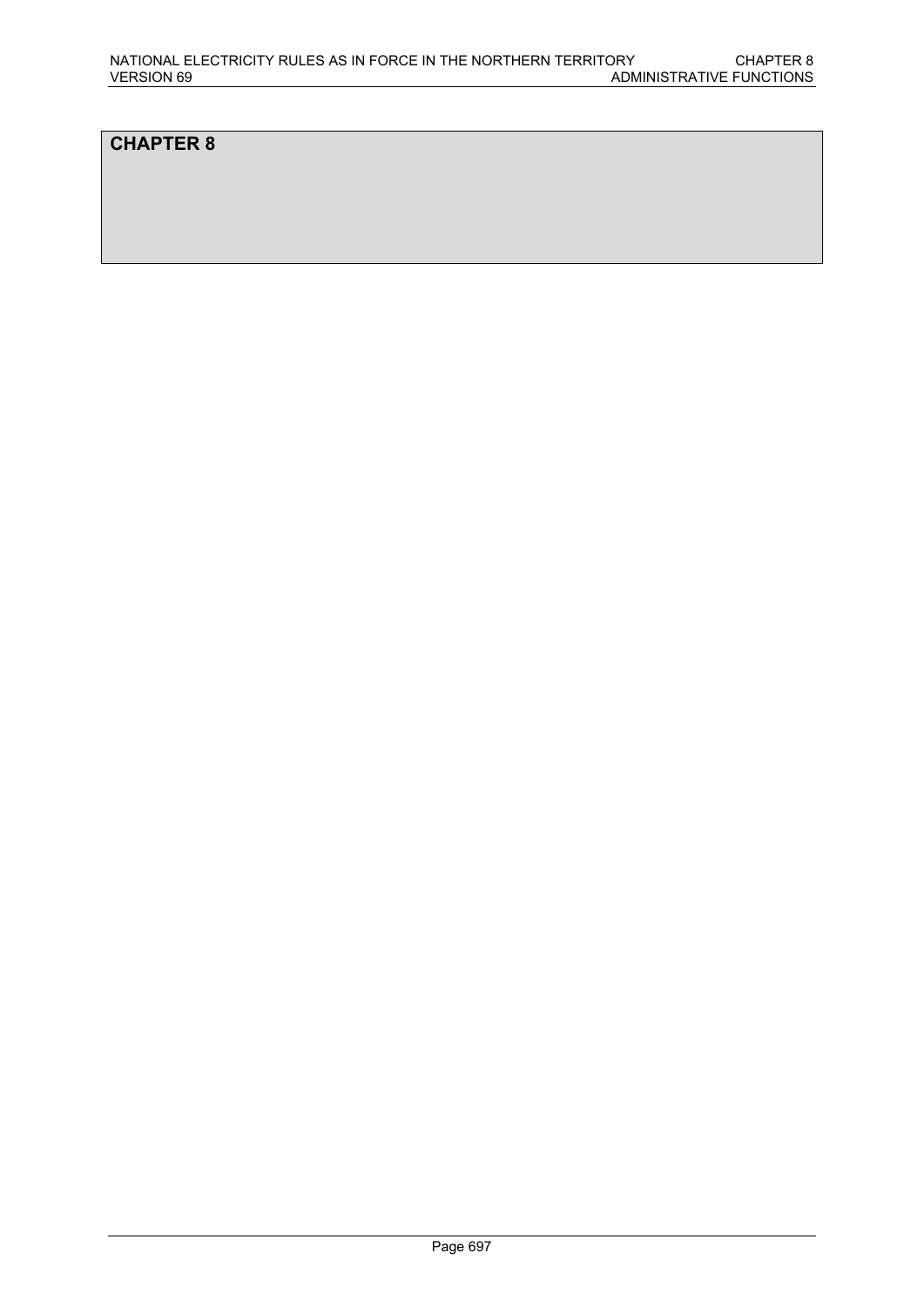# **CHAPTER 8**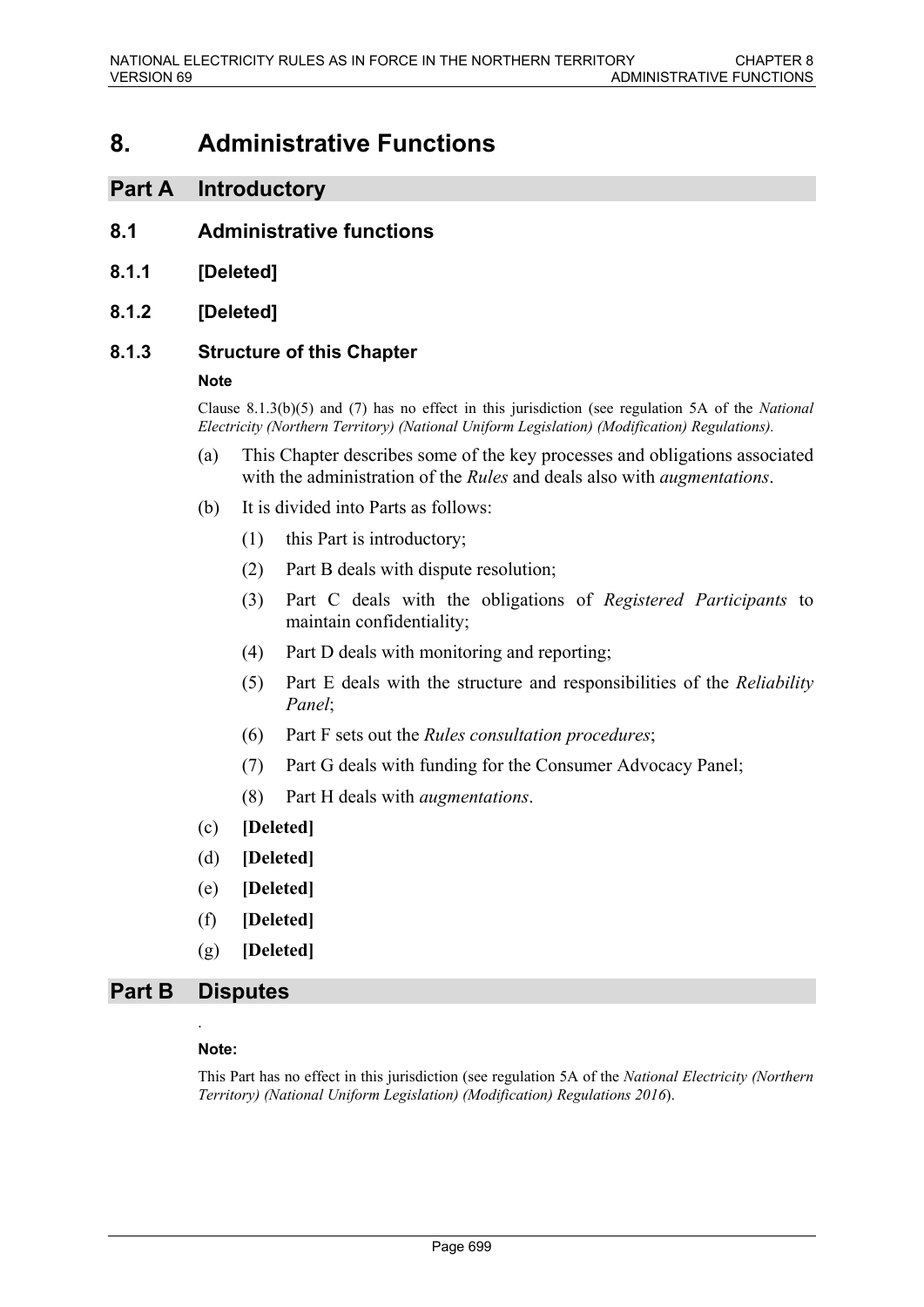# **8. Administrative Functions**

# **Part A Introductory**

- **8.1 Administrative functions**
- **8.1.1 [Deleted]**
- **8.1.2 [Deleted]**

### **8.1.3 Structure of this Chapter**

#### **Note**

Clause 8.1.3(b)(5) and (7) has no effect in this jurisdiction (see regulation 5A of the *National Electricity (Northern Territory) (National Uniform Legislation) (Modification) Regulations).*

- (a) This Chapter describes some of the key processes and obligations associated with the administration of the *Rules* and deals also with *augmentations*.
- (b) It is divided into Parts as follows:
	- (1) this Part is introductory;
	- (2) Part B deals with dispute resolution;
	- (3) Part C deals with the obligations of *Registered Participants* to maintain confidentiality;
	- (4) Part D deals with monitoring and reporting;
	- (5) Part E deals with the structure and responsibilities of the *Reliability Panel*;
	- (6) Part F sets out the *Rules consultation procedures*;
	- (7) Part G deals with funding for the Consumer Advocacy Panel;
	- (8) Part H deals with *augmentations*.
- (c) **[Deleted]**
- (d) **[Deleted]**
- (e) **[Deleted]**
- (f) **[Deleted]**
- (g) **[Deleted]**

# **Part B Disputes** .

#### **Note:**

This Part has no effect in this jurisdiction (see regulation 5A of the *National Electricity (Northern Territory) (National Uniform Legislation) (Modification) Regulations 2016*).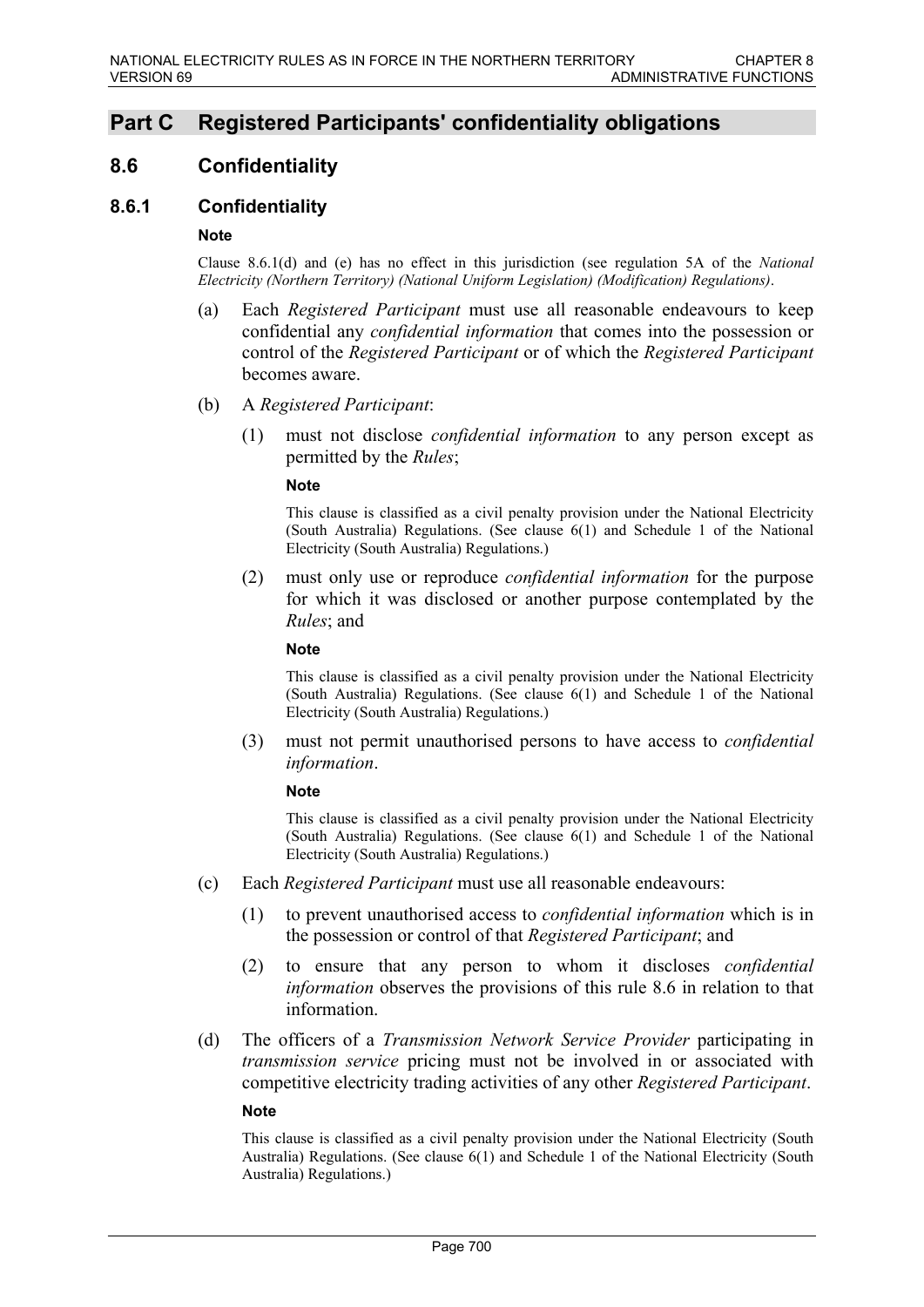# **Part C Registered Participants' confidentiality obligations**

# **8.6 Confidentiality**

# **8.6.1 Confidentiality**

#### **Note**

Clause 8.6.1(d) and (e) has no effect in this jurisdiction (see regulation 5A of the *National Electricity (Northern Territory) (National Uniform Legislation) (Modification) Regulations)*.

- (a) Each *Registered Participant* must use all reasonable endeavours to keep confidential any *confidential information* that comes into the possession or control of the *Registered Participant* or of which the *Registered Participant* becomes aware.
- (b) A *Registered Participant*:
	- (1) must not disclose *confidential information* to any person except as permitted by the *Rules*;

#### **Note**

This clause is classified as a civil penalty provision under the National Electricity (South Australia) Regulations. (See clause 6(1) and Schedule 1 of the National Electricity (South Australia) Regulations.)

(2) must only use or reproduce *confidential information* for the purpose for which it was disclosed or another purpose contemplated by the *Rules*; and

#### **Note**

This clause is classified as a civil penalty provision under the National Electricity (South Australia) Regulations. (See clause 6(1) and Schedule 1 of the National Electricity (South Australia) Regulations.)

(3) must not permit unauthorised persons to have access to *confidential information*.

#### **Note**

This clause is classified as a civil penalty provision under the National Electricity (South Australia) Regulations. (See clause 6(1) and Schedule 1 of the National Electricity (South Australia) Regulations.)

- (c) Each *Registered Participant* must use all reasonable endeavours:
	- (1) to prevent unauthorised access to *confidential information* which is in the possession or control of that *Registered Participant*; and
	- (2) to ensure that any person to whom it discloses *confidential information* observes the provisions of this rule 8.6 in relation to that information.
- (d) The officers of a *Transmission Network Service Provider* participating in *transmission service* pricing must not be involved in or associated with competitive electricity trading activities of any other *Registered Participant*.

#### **Note**

This clause is classified as a civil penalty provision under the National Electricity (South Australia) Regulations. (See clause 6(1) and Schedule 1 of the National Electricity (South Australia) Regulations.)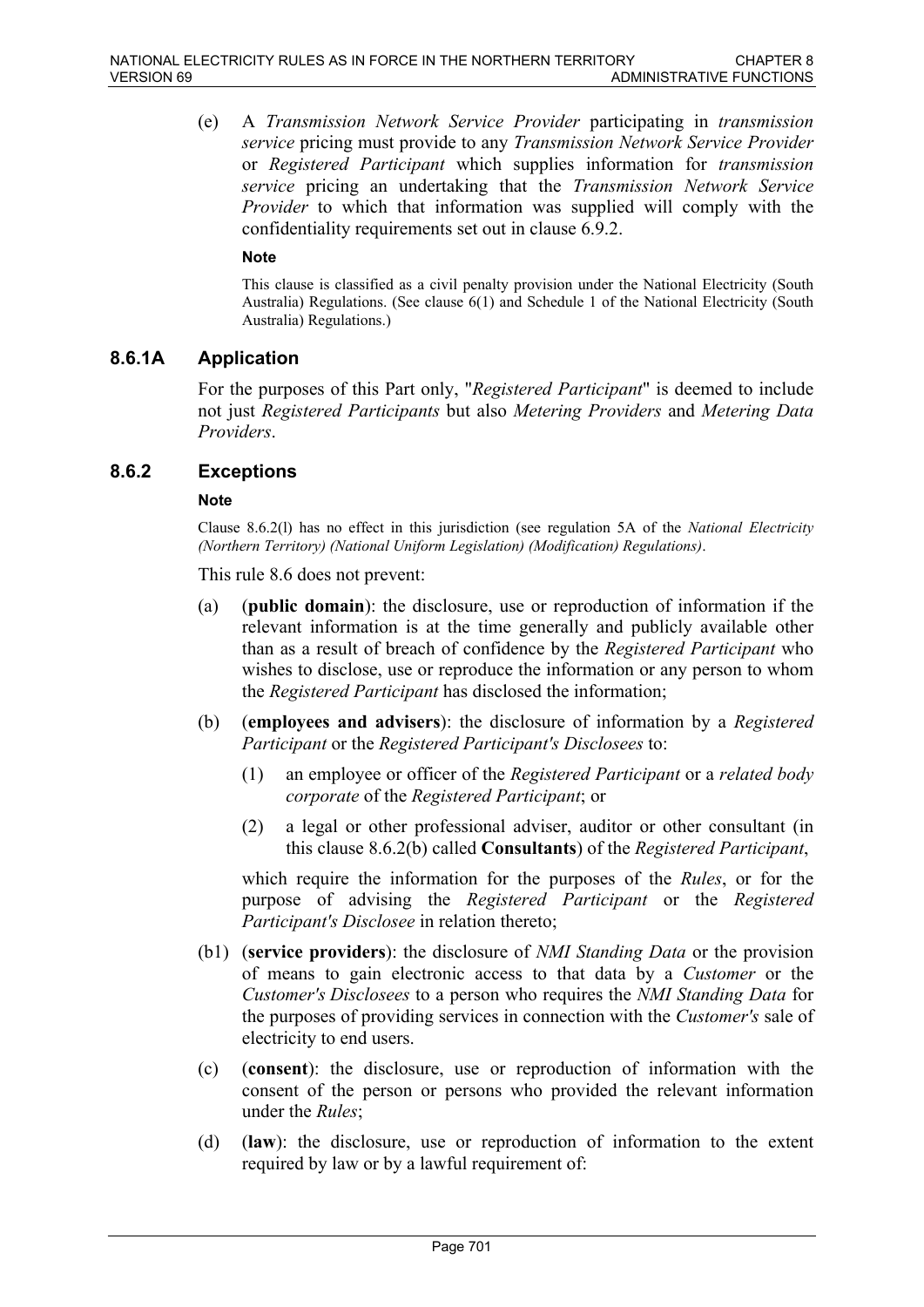(e) A *Transmission Network Service Provider* participating in *transmission service* pricing must provide to any *Transmission Network Service Provider* or *Registered Participant* which supplies information for *transmission service* pricing an undertaking that the *Transmission Network Service Provider* to which that information was supplied will comply with the confidentiality requirements set out in clause 6.9.2.

### **Note**

This clause is classified as a civil penalty provision under the National Electricity (South Australia) Regulations. (See clause 6(1) and Schedule 1 of the National Electricity (South Australia) Regulations.)

### **8.6.1A Application**

For the purposes of this Part only, "*Registered Participant*" is deemed to include not just *Registered Participants* but also *Metering Providers* and *Metering Data Providers*.

### **8.6.2 Exceptions**

#### **Note**

Clause 8.6.2(l) has no effect in this jurisdiction (see regulation 5A of the *National Electricity (Northern Territory) (National Uniform Legislation) (Modification) Regulations)*.

This rule 8.6 does not prevent:

- (a) (**public domain**): the disclosure, use or reproduction of information if the relevant information is at the time generally and publicly available other than as a result of breach of confidence by the *Registered Participant* who wishes to disclose, use or reproduce the information or any person to whom the *Registered Participant* has disclosed the information;
- (b) (**employees and advisers**): the disclosure of information by a *Registered Participant* or the *Registered Participant's Disclosees* to:
	- (1) an employee or officer of the *Registered Participant* or a *related body corporate* of the *Registered Participant*; or
	- (2) a legal or other professional adviser, auditor or other consultant (in this clause 8.6.2(b) called **Consultants**) of the *Registered Participant*,

which require the information for the purposes of the *Rules*, or for the purpose of advising the *Registered Participant* or the *Registered Participant's Disclosee* in relation thereto;

- (b1) (**service providers**): the disclosure of *NMI Standing Data* or the provision of means to gain electronic access to that data by a *Customer* or the *Customer's Disclosees* to a person who requires the *NMI Standing Data* for the purposes of providing services in connection with the *Customer's* sale of electricity to end users.
- (c) (**consent**): the disclosure, use or reproduction of information with the consent of the person or persons who provided the relevant information under the *Rules*;
- (d) (**law**): the disclosure, use or reproduction of information to the extent required by law or by a lawful requirement of: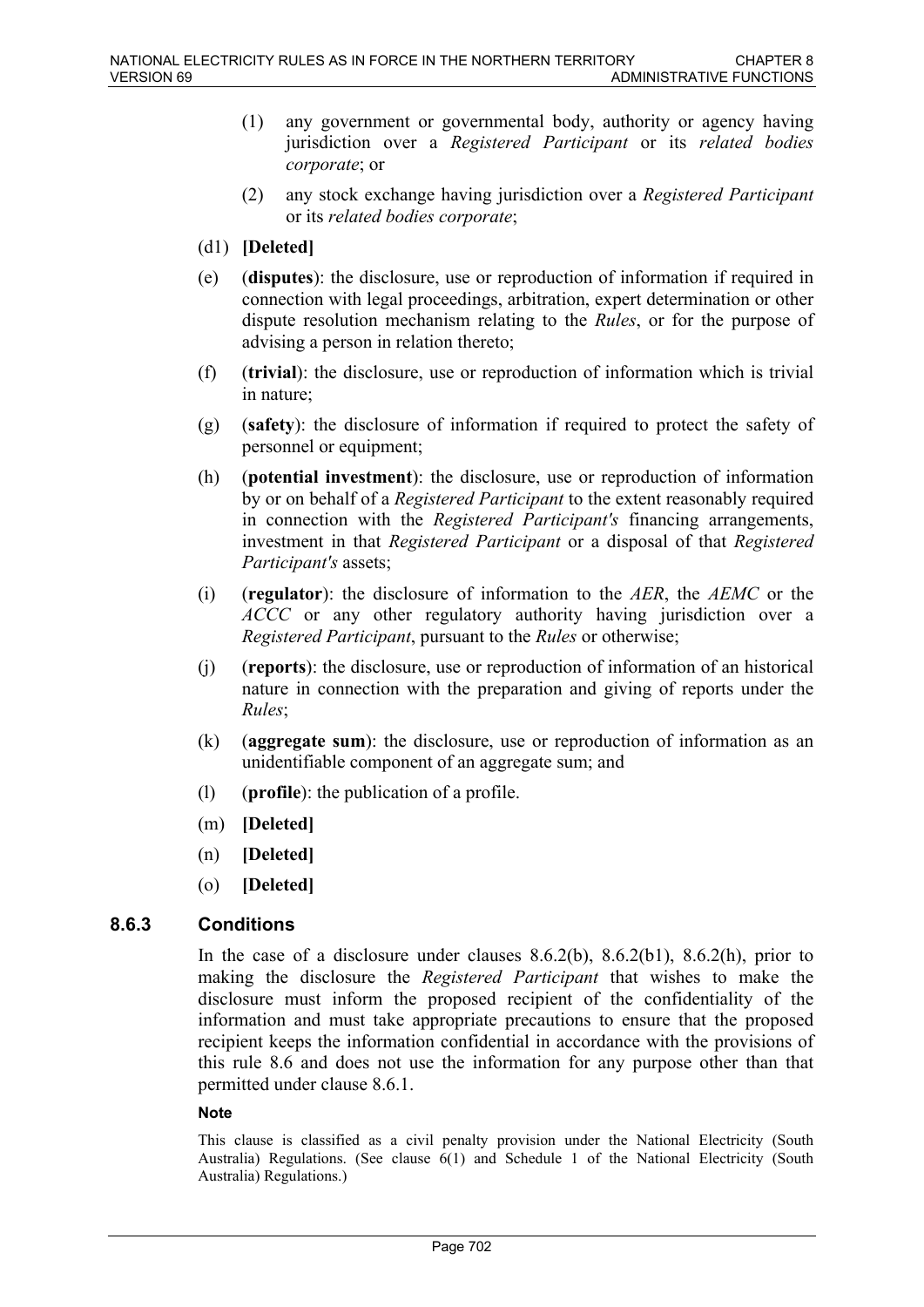- (1) any government or governmental body, authority or agency having jurisdiction over a *Registered Participant* or its *related bodies corporate*; or
- (2) any stock exchange having jurisdiction over a *Registered Participant* or its *related bodies corporate*;
- (d1) **[Deleted]**
- (e) (**disputes**): the disclosure, use or reproduction of information if required in connection with legal proceedings, arbitration, expert determination or other dispute resolution mechanism relating to the *Rules*, or for the purpose of advising a person in relation thereto;
- (f) (**trivial**): the disclosure, use or reproduction of information which is trivial in nature;
- (g) (**safety**): the disclosure of information if required to protect the safety of personnel or equipment;
- (h) (**potential investment**): the disclosure, use or reproduction of information by or on behalf of a *Registered Participant* to the extent reasonably required in connection with the *Registered Participant's* financing arrangements, investment in that *Registered Participant* or a disposal of that *Registered Participant's* assets;
- (i) (**regulator**): the disclosure of information to the *AER*, the *AEMC* or the *ACCC* or any other regulatory authority having jurisdiction over a *Registered Participant*, pursuant to the *Rules* or otherwise;
- (j) (**reports**): the disclosure, use or reproduction of information of an historical nature in connection with the preparation and giving of reports under the *Rules*;
- (k) (**aggregate sum**): the disclosure, use or reproduction of information as an unidentifiable component of an aggregate sum; and
- (l) (**profile**): the publication of a profile.
- (m) **[Deleted]**
- (n) **[Deleted]**
- (o) **[Deleted]**

# **8.6.3 Conditions**

In the case of a disclosure under clauses  $8.6.2(b)$ ,  $8.6.2(b)$ ,  $8.6.2(h)$ , prior to making the disclosure the *Registered Participant* that wishes to make the disclosure must inform the proposed recipient of the confidentiality of the information and must take appropriate precautions to ensure that the proposed recipient keeps the information confidential in accordance with the provisions of this rule 8.6 and does not use the information for any purpose other than that permitted under clause 8.6.1.

### **Note**

This clause is classified as a civil penalty provision under the National Electricity (South Australia) Regulations. (See clause 6(1) and Schedule 1 of the National Electricity (South Australia) Regulations.)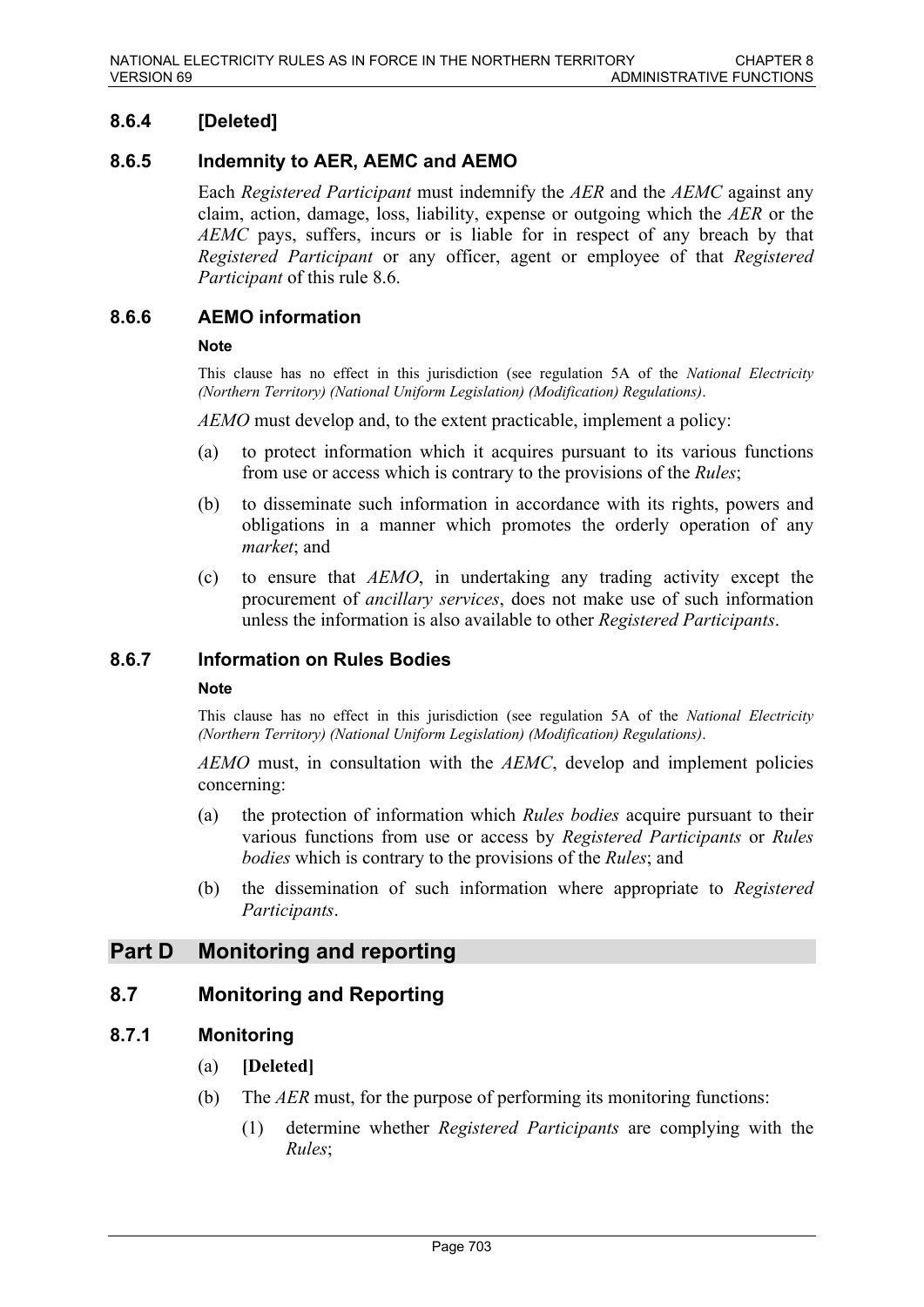# **8.6.4 [Deleted]**

# **8.6.5 Indemnity to AER, AEMC and AEMO**

Each *Registered Participant* must indemnify the *AER* and the *AEMC* against any claim, action, damage, loss, liability, expense or outgoing which the *AER* or the *AEMC* pays, suffers, incurs or is liable for in respect of any breach by that *Registered Participant* or any officer, agent or employee of that *Registered Participant* of this rule 8.6.

# **8.6.6 AEMO information**

### **Note**

This clause has no effect in this jurisdiction (see regulation 5A of the *National Electricity (Northern Territory) (National Uniform Legislation) (Modification) Regulations)*.

*AEMO* must develop and, to the extent practicable, implement a policy:

- (a) to protect information which it acquires pursuant to its various functions from use or access which is contrary to the provisions of the *Rules*;
- (b) to disseminate such information in accordance with its rights, powers and obligations in a manner which promotes the orderly operation of any *market*; and
- (c) to ensure that *AEMO*, in undertaking any trading activity except the procurement of *ancillary services*, does not make use of such information unless the information is also available to other *Registered Participants*.

### **8.6.7 Information on Rules Bodies**

#### **Note**

This clause has no effect in this jurisdiction (see regulation 5A of the *National Electricity (Northern Territory) (National Uniform Legislation) (Modification) Regulations)*.

*AEMO* must, in consultation with the *AEMC*, develop and implement policies concerning:

- (a) the protection of information which *Rules bodies* acquire pursuant to their various functions from use or access by *Registered Participants* or *Rules bodies* which is contrary to the provisions of the *Rules*; and
- (b) the dissemination of such information where appropriate to *Registered Participants*.

# **Part D Monitoring and reporting**

# **8.7 Monitoring and Reporting**

# **8.7.1 Monitoring**

- (a) **[Deleted]**
- (b) The *AER* must, for the purpose of performing its monitoring functions:
	- (1) determine whether *Registered Participants* are complying with the *Rules*;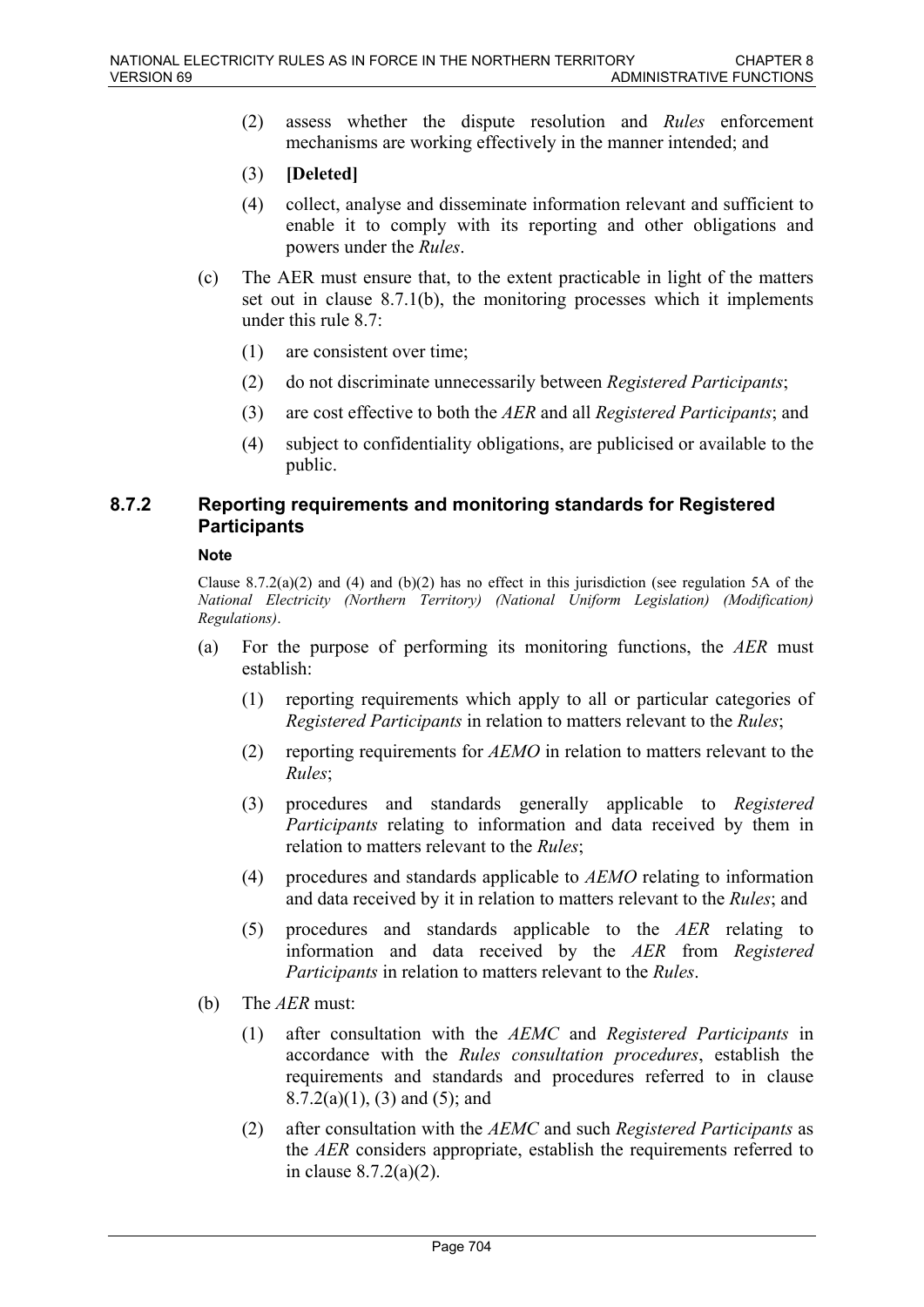- (2) assess whether the dispute resolution and *Rules* enforcement mechanisms are working effectively in the manner intended; and
- (3) **[Deleted]**
- (4) collect, analyse and disseminate information relevant and sufficient to enable it to comply with its reporting and other obligations and powers under the *Rules*.
- (c) The AER must ensure that, to the extent practicable in light of the matters set out in clause 8.7.1(b), the monitoring processes which it implements under this rule 8.7:
	- (1) are consistent over time;
	- (2) do not discriminate unnecessarily between *Registered Participants*;
	- (3) are cost effective to both the *AER* and all *Registered Participants*; and
	- (4) subject to confidentiality obligations, are publicised or available to the public.

# **8.7.2 Reporting requirements and monitoring standards for Registered Participants**

#### **Note**

Clause 8.7.2(a)(2) and (4) and (b)(2) has no effect in this jurisdiction (see regulation 5A of the *National Electricity (Northern Territory) (National Uniform Legislation) (Modification) Regulations)*.

- (a) For the purpose of performing its monitoring functions, the *AER* must establish:
	- (1) reporting requirements which apply to all or particular categories of *Registered Participants* in relation to matters relevant to the *Rules*;
	- (2) reporting requirements for *AEMO* in relation to matters relevant to the *Rules*;
	- (3) procedures and standards generally applicable to *Registered Participants* relating to information and data received by them in relation to matters relevant to the *Rules*;
	- (4) procedures and standards applicable to *AEMO* relating to information and data received by it in relation to matters relevant to the *Rules*; and
	- (5) procedures and standards applicable to the *AER* relating to information and data received by the *AER* from *Registered Participants* in relation to matters relevant to the *Rules*.
- (b) The *AER* must:
	- (1) after consultation with the *AEMC* and *Registered Participants* in accordance with the *Rules consultation procedures*, establish the requirements and standards and procedures referred to in clause  $8.7.2(a)(1)$ ,  $(3)$  and  $(5)$ ; and
	- (2) after consultation with the *AEMC* and such *Registered Participants* as the *AER* considers appropriate, establish the requirements referred to in clause 8.7.2(a)(2).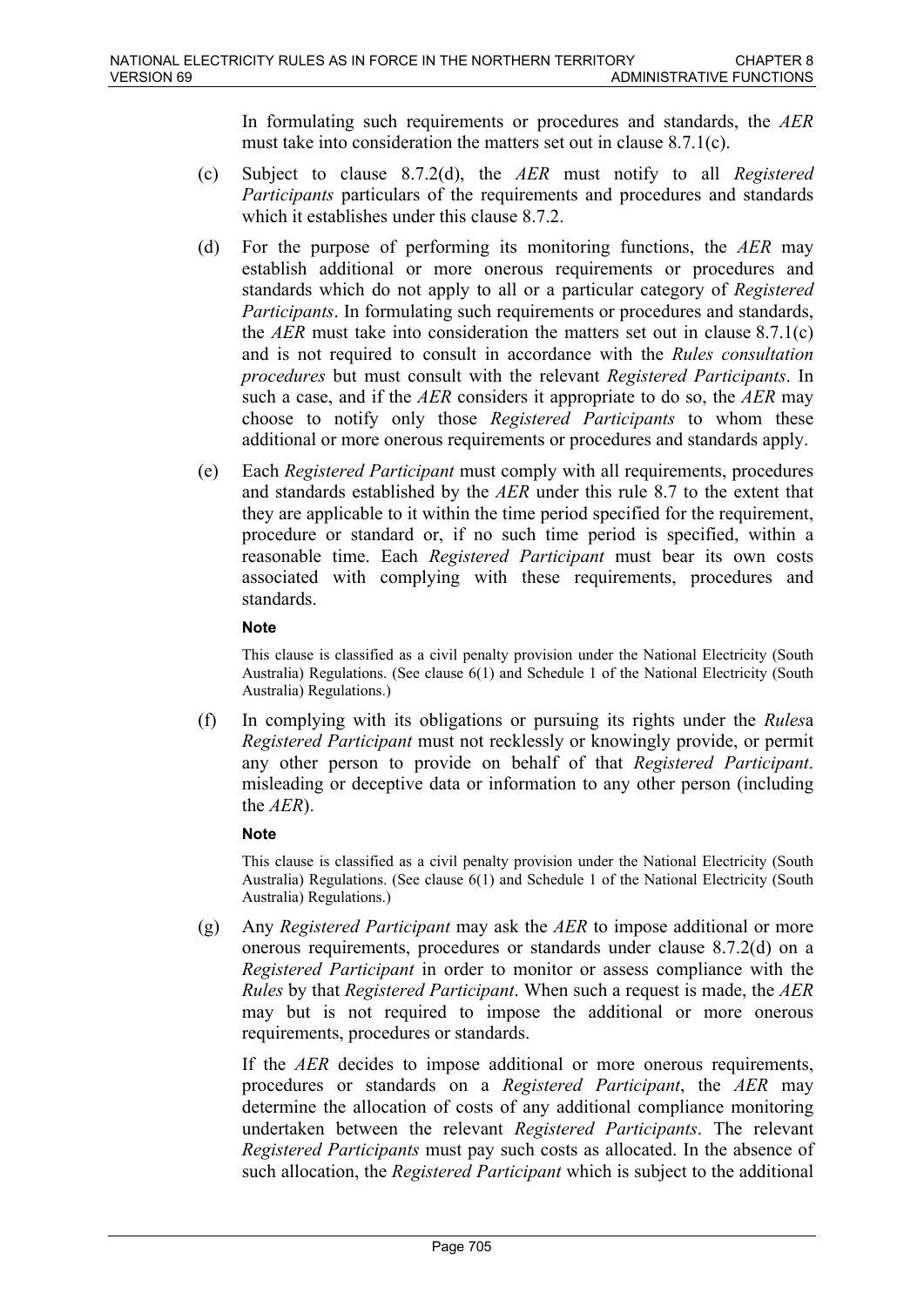In formulating such requirements or procedures and standards, the *AER* must take into consideration the matters set out in clause 8.7.1(c).

- (c) Subject to clause 8.7.2(d), the *AER* must notify to all *Registered Participants* particulars of the requirements and procedures and standards which it establishes under this clause 8.7.2.
- (d) For the purpose of performing its monitoring functions, the *AER* may establish additional or more onerous requirements or procedures and standards which do not apply to all or a particular category of *Registered Participants*. In formulating such requirements or procedures and standards, the *AER* must take into consideration the matters set out in clause 8.7.1(c) and is not required to consult in accordance with the *Rules consultation procedures* but must consult with the relevant *Registered Participants*. In such a case, and if the *AER* considers it appropriate to do so, the *AER* may choose to notify only those *Registered Participants* to whom these additional or more onerous requirements or procedures and standards apply.
- (e) Each *Registered Participant* must comply with all requirements, procedures and standards established by the *AER* under this rule 8.7 to the extent that they are applicable to it within the time period specified for the requirement, procedure or standard or, if no such time period is specified, within a reasonable time. Each *Registered Participant* must bear its own costs associated with complying with these requirements, procedures and standards.

### **Note**

This clause is classified as a civil penalty provision under the National Electricity (South Australia) Regulations. (See clause 6(1) and Schedule 1 of the National Electricity (South Australia) Regulations.)

(f) In complying with its obligations or pursuing its rights under the *Rules*a *Registered Participant* must not recklessly or knowingly provide, or permit any other person to provide on behalf of that *Registered Participant*. misleading or deceptive data or information to any other person (including the *AER*).

### **Note**

This clause is classified as a civil penalty provision under the National Electricity (South Australia) Regulations. (See clause 6(1) and Schedule 1 of the National Electricity (South Australia) Regulations.)

(g) Any *Registered Participant* may ask the *AER* to impose additional or more onerous requirements, procedures or standards under clause 8.7.2(d) on a *Registered Participant* in order to monitor or assess compliance with the *Rules* by that *Registered Participant*. When such a request is made, the *AER* may but is not required to impose the additional or more onerous requirements, procedures or standards.

If the *AER* decides to impose additional or more onerous requirements, procedures or standards on a *Registered Participant*, the *AER* may determine the allocation of costs of any additional compliance monitoring undertaken between the relevant *Registered Participants*. The relevant *Registered Participants* must pay such costs as allocated. In the absence of such allocation, the *Registered Participant* which is subject to the additional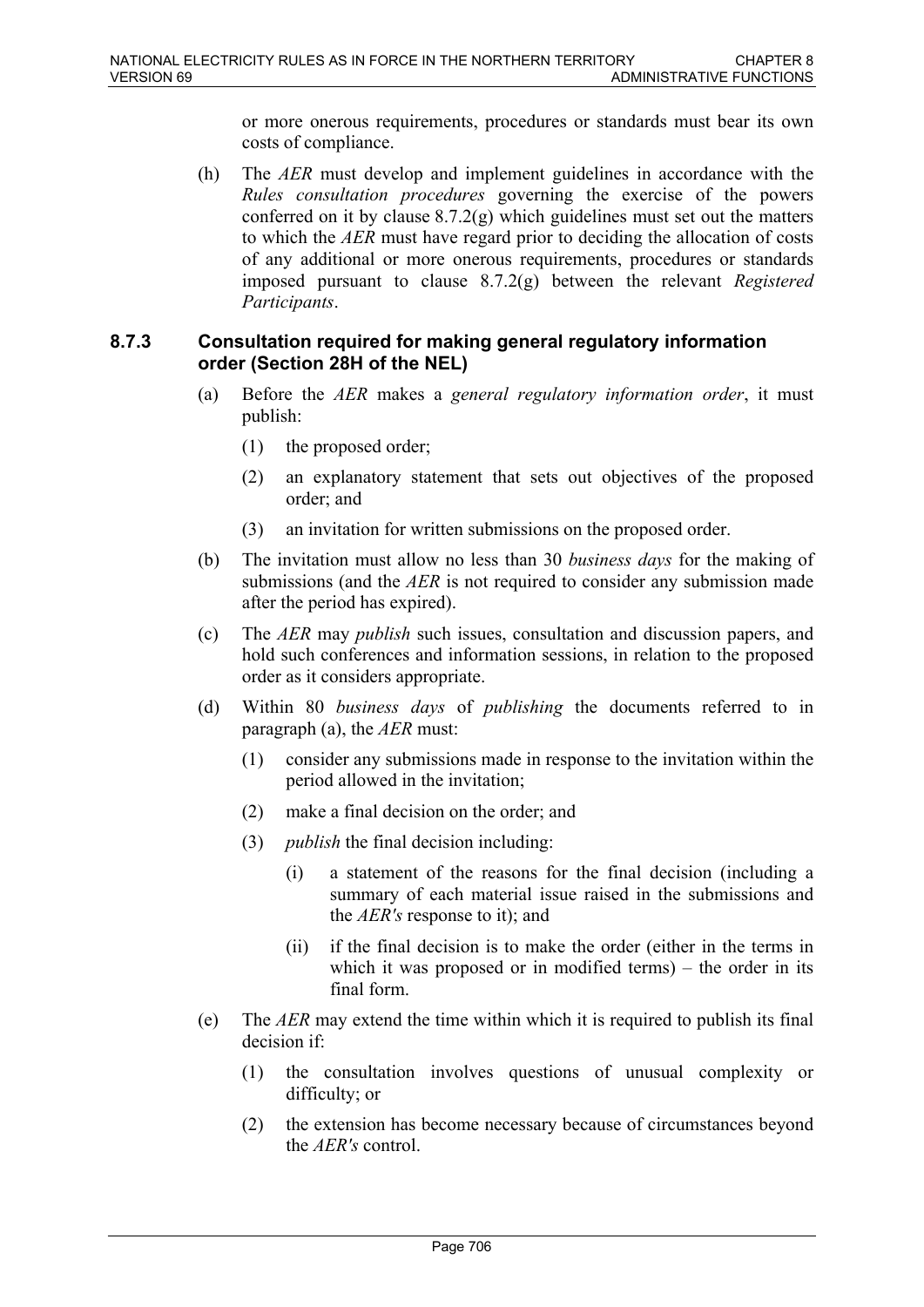or more onerous requirements, procedures or standards must bear its own costs of compliance.

(h) The *AER* must develop and implement guidelines in accordance with the *Rules consultation procedures* governing the exercise of the powers conferred on it by clause 8.7.2(g) which guidelines must set out the matters to which the *AER* must have regard prior to deciding the allocation of costs of any additional or more onerous requirements, procedures or standards imposed pursuant to clause 8.7.2(g) between the relevant *Registered Participants*.

# **8.7.3 Consultation required for making general regulatory information order (Section 28H of the NEL)**

- (a) Before the *AER* makes a *general regulatory information order*, it must publish:
	- (1) the proposed order;
	- (2) an explanatory statement that sets out objectives of the proposed order; and
	- (3) an invitation for written submissions on the proposed order.
- (b) The invitation must allow no less than 30 *business days* for the making of submissions (and the *AER* is not required to consider any submission made after the period has expired).
- (c) The *AER* may *publish* such issues, consultation and discussion papers, and hold such conferences and information sessions, in relation to the proposed order as it considers appropriate.
- (d) Within 80 *business days* of *publishing* the documents referred to in paragraph (a), the *AER* must:
	- (1) consider any submissions made in response to the invitation within the period allowed in the invitation;
	- (2) make a final decision on the order; and
	- (3) *publish* the final decision including:
		- (i) a statement of the reasons for the final decision (including a summary of each material issue raised in the submissions and the *AER's* response to it); and
		- (ii) if the final decision is to make the order (either in the terms in which it was proposed or in modified terms) – the order in its final form.
- (e) The *AER* may extend the time within which it is required to publish its final decision if:
	- (1) the consultation involves questions of unusual complexity or difficulty; or
	- (2) the extension has become necessary because of circumstances beyond the *AER's* control.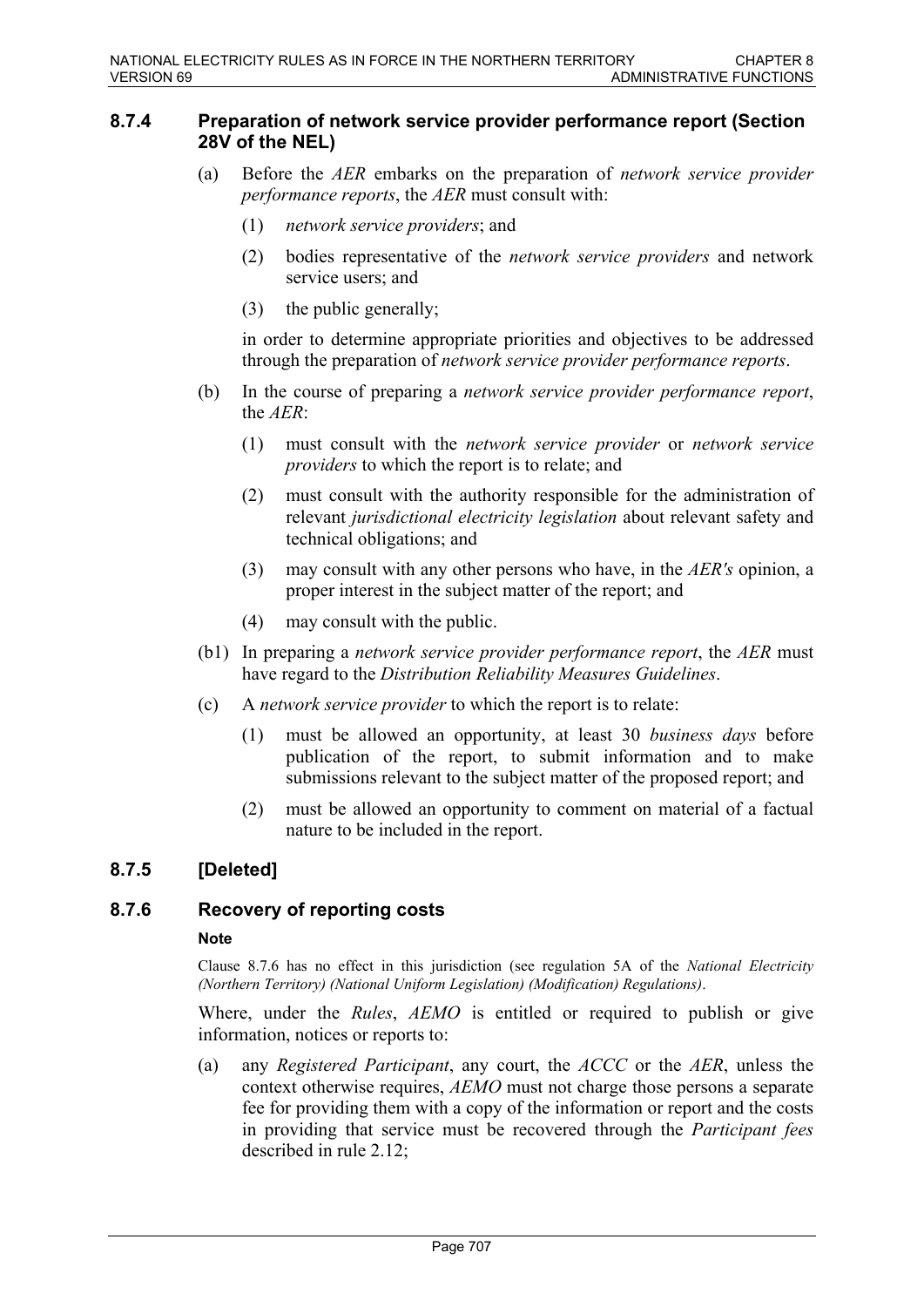### **8.7.4 Preparation of network service provider performance report (Section 28V of the NEL)**

- (a) Before the *AER* embarks on the preparation of *network service provider performance reports*, the *AER* must consult with:
	- (1) *network service providers*; and
	- (2) bodies representative of the *network service providers* and network service users; and
	- (3) the public generally;

in order to determine appropriate priorities and objectives to be addressed through the preparation of *network service provider performance reports*.

- (b) In the course of preparing a *network service provider performance report*, the *AER*:
	- (1) must consult with the *network service provider* or *network service providers* to which the report is to relate; and
	- (2) must consult with the authority responsible for the administration of relevant *jurisdictional electricity legislation* about relevant safety and technical obligations; and
	- (3) may consult with any other persons who have, in the *AER's* opinion, a proper interest in the subject matter of the report; and
	- (4) may consult with the public.
- (b1) In preparing a *network service provider performance report*, the *AER* must have regard to the *Distribution Reliability Measures Guidelines*.
- (c) A *network service provider* to which the report is to relate:
	- (1) must be allowed an opportunity, at least 30 *business days* before publication of the report, to submit information and to make submissions relevant to the subject matter of the proposed report; and
	- (2) must be allowed an opportunity to comment on material of a factual nature to be included in the report.

# **8.7.5 [Deleted]**

# **8.7.6 Recovery of reporting costs**

### **Note**

Clause 8.7.6 has no effect in this jurisdiction (see regulation 5A of the *National Electricity (Northern Territory) (National Uniform Legislation) (Modification) Regulations)*.

Where, under the *Rules*, *AEMO* is entitled or required to publish or give information, notices or reports to:

(a) any *Registered Participant*, any court, the *ACCC* or the *AER*, unless the context otherwise requires, *AEMO* must not charge those persons a separate fee for providing them with a copy of the information or report and the costs in providing that service must be recovered through the *Participant fees* described in rule 2.12;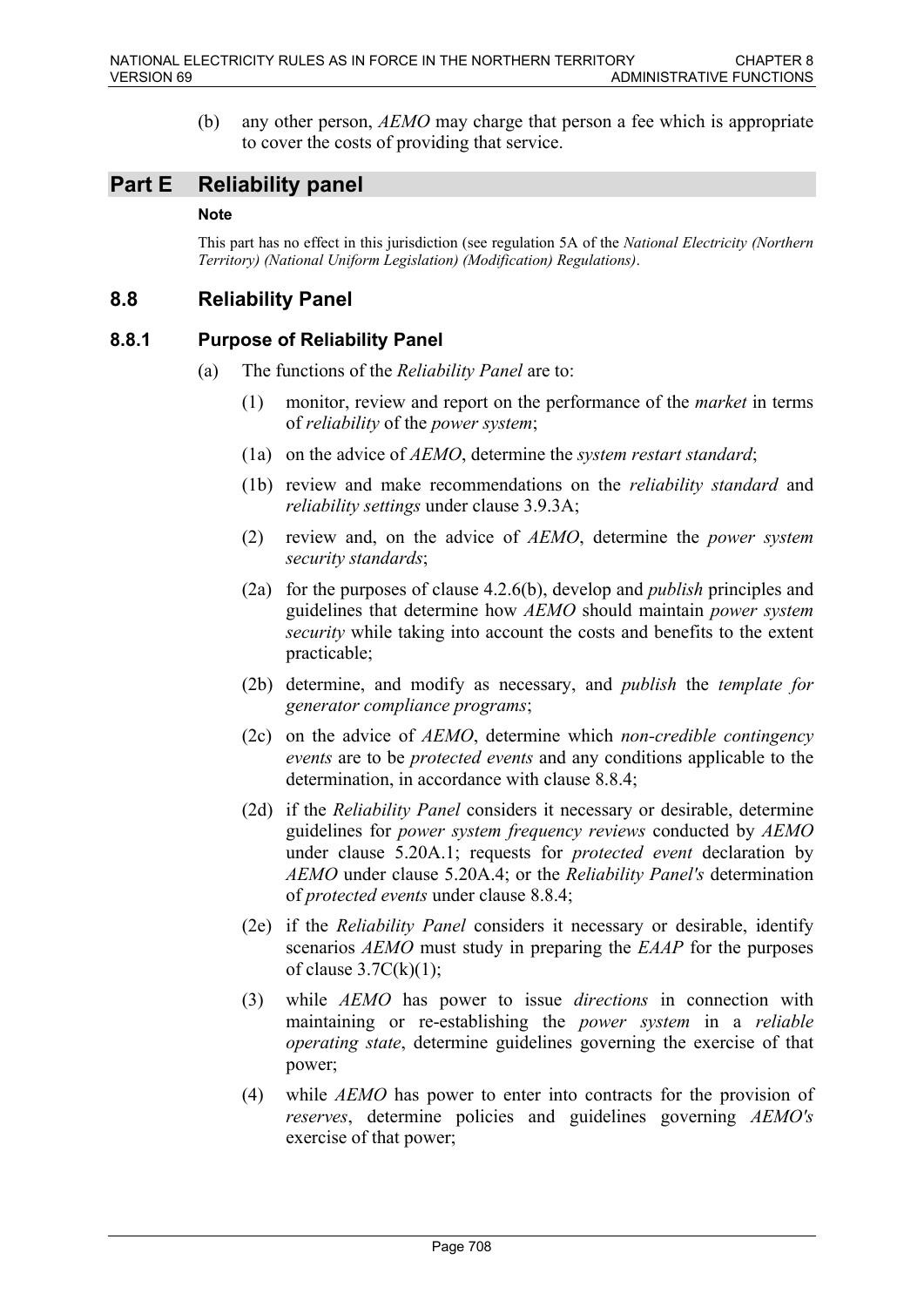(b) any other person, *AEMO* may charge that person a fee which is appropriate to cover the costs of providing that service.

# **Part E Reliability panel**

### **Note**

This part has no effect in this jurisdiction (see regulation 5A of the *National Electricity (Northern Territory) (National Uniform Legislation) (Modification) Regulations)*.

# **8.8 Reliability Panel**

# **8.8.1 Purpose of Reliability Panel**

- (a) The functions of the *Reliability Panel* are to:
	- (1) monitor, review and report on the performance of the *market* in terms of *reliability* of the *power system*;
	- (1a) on the advice of *AEMO*, determine the *system restart standard*;
	- (1b) review and make recommendations on the *reliability standard* and *reliability settings* under clause 3.9.3A;
	- (2) review and, on the advice of *AEMO*, determine the *power system security standards*;
	- (2a) for the purposes of clause 4.2.6(b), develop and *publish* principles and guidelines that determine how *AEMO* should maintain *power system security* while taking into account the costs and benefits to the extent practicable;
	- (2b) determine, and modify as necessary, and *publish* the *template for generator compliance programs*;
	- (2c) on the advice of *AEMO*, determine which *non-credible contingency events* are to be *protected events* and any conditions applicable to the determination, in accordance with clause 8.8.4;
	- (2d) if the *Reliability Panel* considers it necessary or desirable, determine guidelines for *power system frequency reviews* conducted by *AEMO* under clause 5.20A.1; requests for *protected event* declaration by *AEMO* under clause 5.20A.4; or the *Reliability Panel's* determination of *protected events* under clause 8.8.4;
	- (2e) if the *Reliability Panel* considers it necessary or desirable, identify scenarios *AEMO* must study in preparing the *EAAP* for the purposes of clause  $3.7C(k)(1)$ ;
	- (3) while *AEMO* has power to issue *directions* in connection with maintaining or re-establishing the *power system* in a *reliable operating state*, determine guidelines governing the exercise of that power;
	- (4) while *AEMO* has power to enter into contracts for the provision of *reserves*, determine policies and guidelines governing *AEMO's* exercise of that power;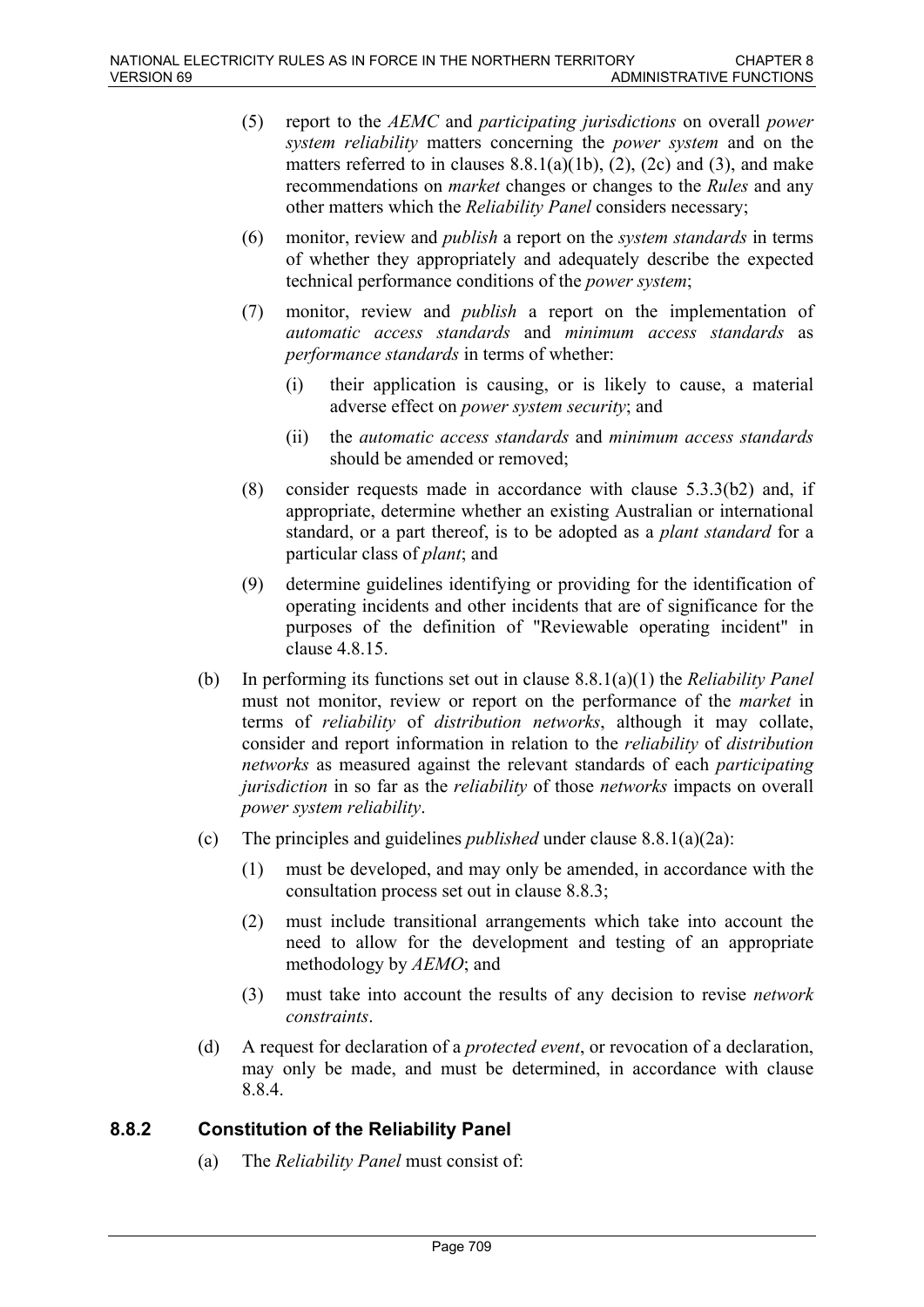- (5) report to the *AEMC* and *participating jurisdictions* on overall *power system reliability* matters concerning the *power system* and on the matters referred to in clauses  $8.8.1(a)(1b)$ ,  $(2)$ ,  $(2c)$  and  $(3)$ , and make recommendations on *market* changes or changes to the *Rules* and any other matters which the *Reliability Panel* considers necessary;
- (6) monitor, review and *publish* a report on the *system standards* in terms of whether they appropriately and adequately describe the expected technical performance conditions of the *power system*;
- (7) monitor, review and *publish* a report on the implementation of *automatic access standards* and *minimum access standards* as *performance standards* in terms of whether:
	- (i) their application is causing, or is likely to cause, a material adverse effect on *power system security*; and
	- (ii) the *automatic access standards* and *minimum access standards* should be amended or removed;
- (8) consider requests made in accordance with clause 5.3.3(b2) and, if appropriate, determine whether an existing Australian or international standard, or a part thereof, is to be adopted as a *plant standard* for a particular class of *plant*; and
- (9) determine guidelines identifying or providing for the identification of operating incidents and other incidents that are of significance for the purposes of the definition of "Reviewable operating incident" in clause 4.8.15.
- (b) In performing its functions set out in clause 8.8.1(a)(1) the *Reliability Panel* must not monitor, review or report on the performance of the *market* in terms of *reliability* of *distribution networks*, although it may collate, consider and report information in relation to the *reliability* of *distribution networks* as measured against the relevant standards of each *participating jurisdiction* in so far as the *reliability* of those *networks* impacts on overall *power system reliability*.
- (c) The principles and guidelines *published* under clause 8.8.1(a)(2a):
	- (1) must be developed, and may only be amended, in accordance with the consultation process set out in clause 8.8.3;
	- (2) must include transitional arrangements which take into account the need to allow for the development and testing of an appropriate methodology by *AEMO*; and
	- (3) must take into account the results of any decision to revise *network constraints*.
- (d) A request for declaration of a *protected event*, or revocation of a declaration, may only be made, and must be determined, in accordance with clause 8.8.4.

# **8.8.2 Constitution of the Reliability Panel**

(a) The *Reliability Panel* must consist of: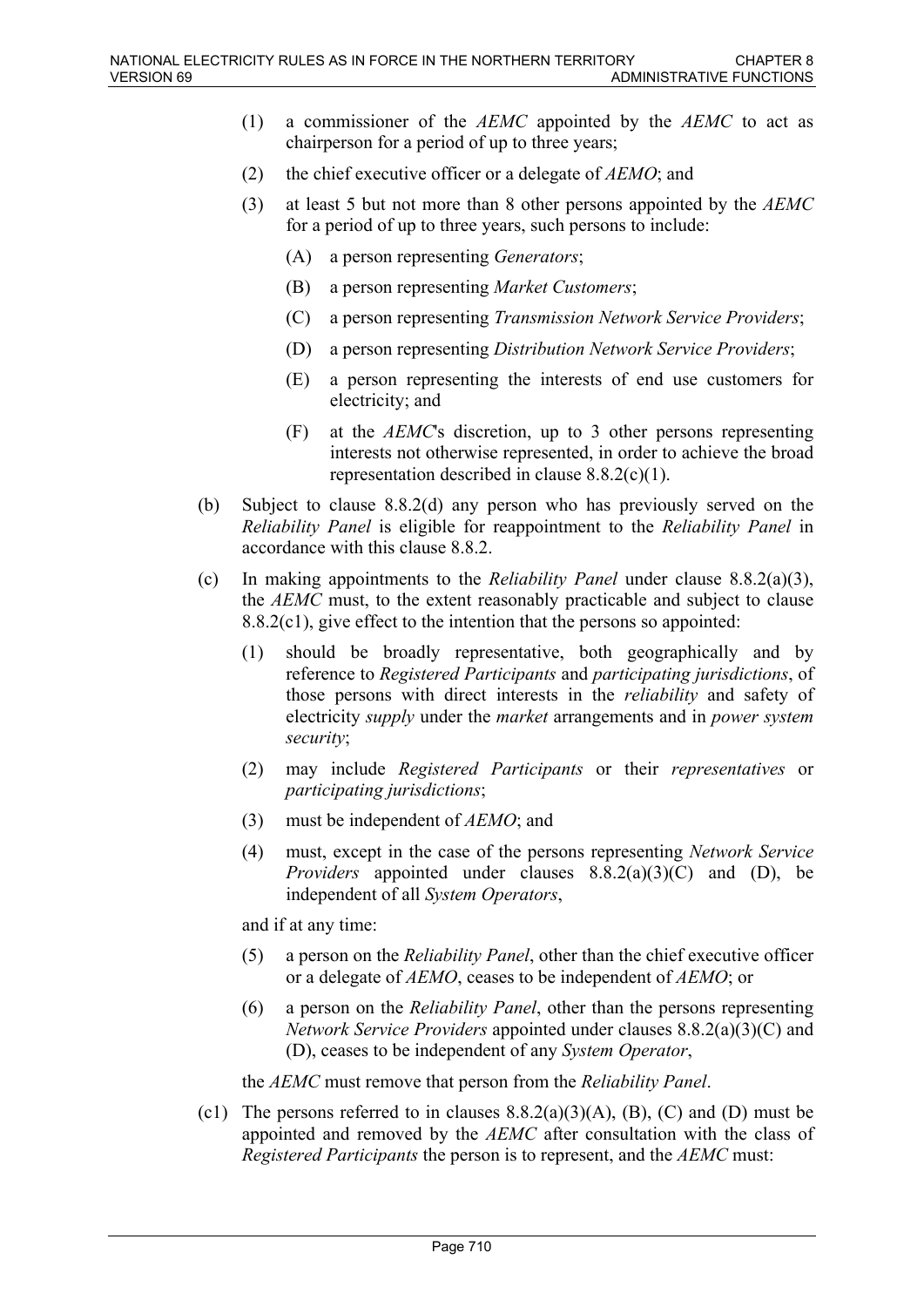- (1) a commissioner of the *AEMC* appointed by the *AEMC* to act as chairperson for a period of up to three years;
- (2) the chief executive officer or a delegate of *AEMO*; and
- (3) at least 5 but not more than 8 other persons appointed by the *AEMC* for a period of up to three years, such persons to include:
	- (A) a person representing *Generators*;
	- (B) a person representing *Market Customers*;
	- (C) a person representing *Transmission Network Service Providers*;
	- (D) a person representing *Distribution Network Service Providers*;
	- (E) a person representing the interests of end use customers for electricity; and
	- (F) at the *AEMC*'s discretion, up to 3 other persons representing interests not otherwise represented, in order to achieve the broad representation described in clause 8.8.2(c)(1).
- (b) Subject to clause 8.8.2(d) any person who has previously served on the *Reliability Panel* is eligible for reappointment to the *Reliability Panel* in accordance with this clause 8.8.2.
- (c) In making appointments to the *Reliability Panel* under clause 8.8.2(a)(3), the *AEMC* must, to the extent reasonably practicable and subject to clause 8.8.2(c1), give effect to the intention that the persons so appointed:
	- (1) should be broadly representative, both geographically and by reference to *Registered Participants* and *participating jurisdictions*, of those persons with direct interests in the *reliability* and safety of electricity *supply* under the *market* arrangements and in *power system security*;
	- (2) may include *Registered Participants* or their *representatives* or *participating jurisdictions*;
	- (3) must be independent of *AEMO*; and
	- (4) must, except in the case of the persons representing *Network Service Providers* appointed under clauses 8.8.2(a)(3)(C) and (D), be independent of all *System Operators*,

and if at any time:

- (5) a person on the *Reliability Panel*, other than the chief executive officer or a delegate of *AEMO*, ceases to be independent of *AEMO*; or
- (6) a person on the *Reliability Panel*, other than the persons representing *Network Service Providers* appointed under clauses 8.8.2(a)(3)(C) and (D), ceases to be independent of any *System Operator*,

the *AEMC* must remove that person from the *Reliability Panel*.

(c1) The persons referred to in clauses  $8.8.2(a)(3)(A)$ , (B), (C) and (D) must be appointed and removed by the *AEMC* after consultation with the class of *Registered Participants* the person is to represent, and the *AEMC* must: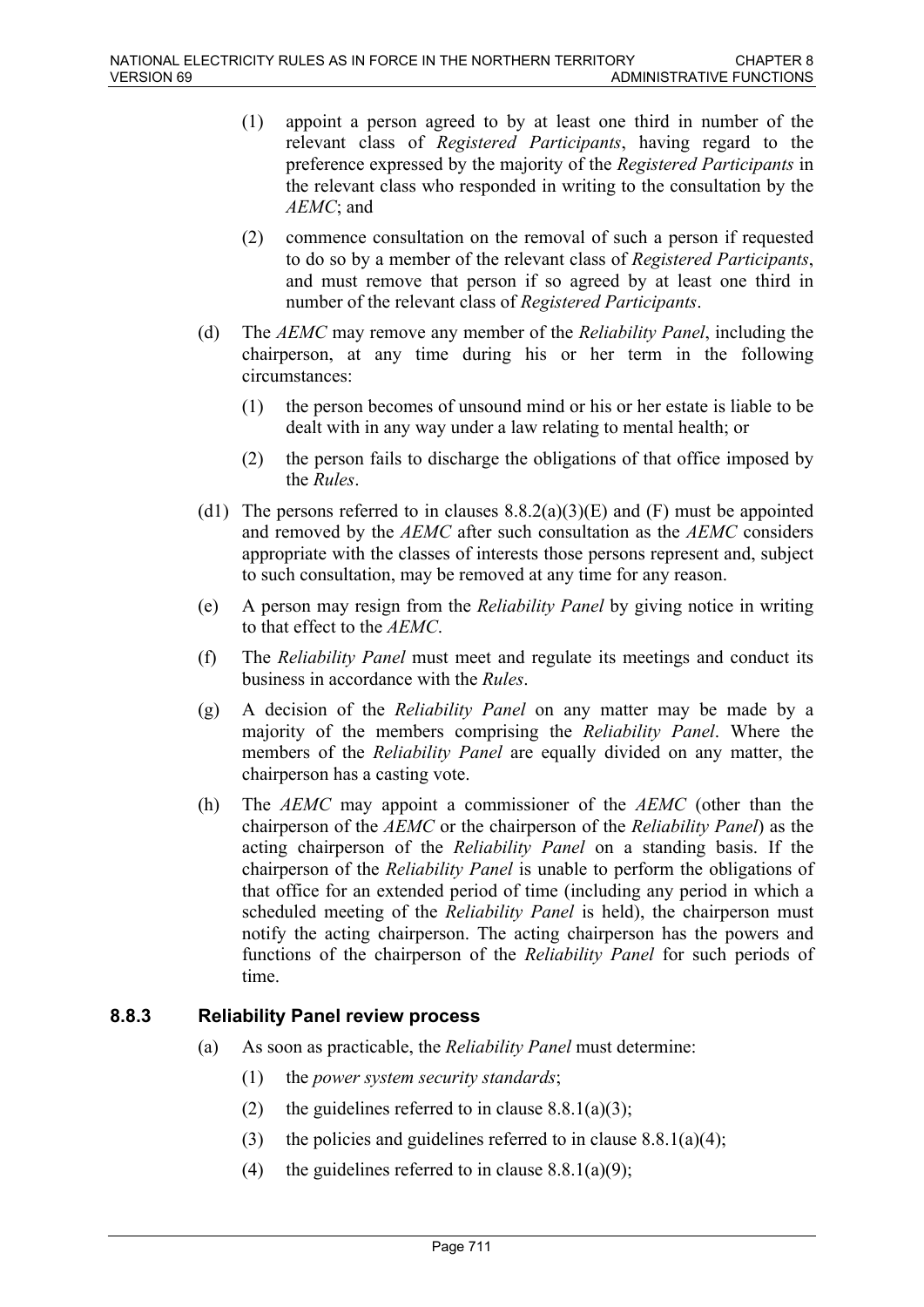- (1) appoint a person agreed to by at least one third in number of the relevant class of *Registered Participants*, having regard to the preference expressed by the majority of the *Registered Participants* in the relevant class who responded in writing to the consultation by the *AEMC*; and
- (2) commence consultation on the removal of such a person if requested to do so by a member of the relevant class of *Registered Participants*, and must remove that person if so agreed by at least one third in number of the relevant class of *Registered Participants*.
- (d) The *AEMC* may remove any member of the *Reliability Panel*, including the chairperson, at any time during his or her term in the following circumstances:
	- (1) the person becomes of unsound mind or his or her estate is liable to be dealt with in any way under a law relating to mental health; or
	- (2) the person fails to discharge the obligations of that office imposed by the *Rules*.
- (d1) The persons referred to in clauses  $8.8.2(a)(3)(E)$  and (F) must be appointed and removed by the *AEMC* after such consultation as the *AEMC* considers appropriate with the classes of interests those persons represent and, subject to such consultation, may be removed at any time for any reason.
- (e) A person may resign from the *Reliability Panel* by giving notice in writing to that effect to the *AEMC*.
- (f) The *Reliability Panel* must meet and regulate its meetings and conduct its business in accordance with the *Rules*.
- (g) A decision of the *Reliability Panel* on any matter may be made by a majority of the members comprising the *Reliability Panel*. Where the members of the *Reliability Panel* are equally divided on any matter, the chairperson has a casting vote.
- (h) The *AEMC* may appoint a commissioner of the *AEMC* (other than the chairperson of the *AEMC* or the chairperson of the *Reliability Panel*) as the acting chairperson of the *Reliability Panel* on a standing basis. If the chairperson of the *Reliability Panel* is unable to perform the obligations of that office for an extended period of time (including any period in which a scheduled meeting of the *Reliability Panel* is held), the chairperson must notify the acting chairperson. The acting chairperson has the powers and functions of the chairperson of the *Reliability Panel* for such periods of time.

# **8.8.3 Reliability Panel review process**

- (a) As soon as practicable, the *Reliability Panel* must determine:
	- (1) the *power system security standards*;
	- (2) the guidelines referred to in clause  $8.8.1(a)(3)$ ;
	- (3) the policies and guidelines referred to in clause  $8.8.1(a)(4)$ ;
	- (4) the guidelines referred to in clause  $8.8.1(a)(9)$ ;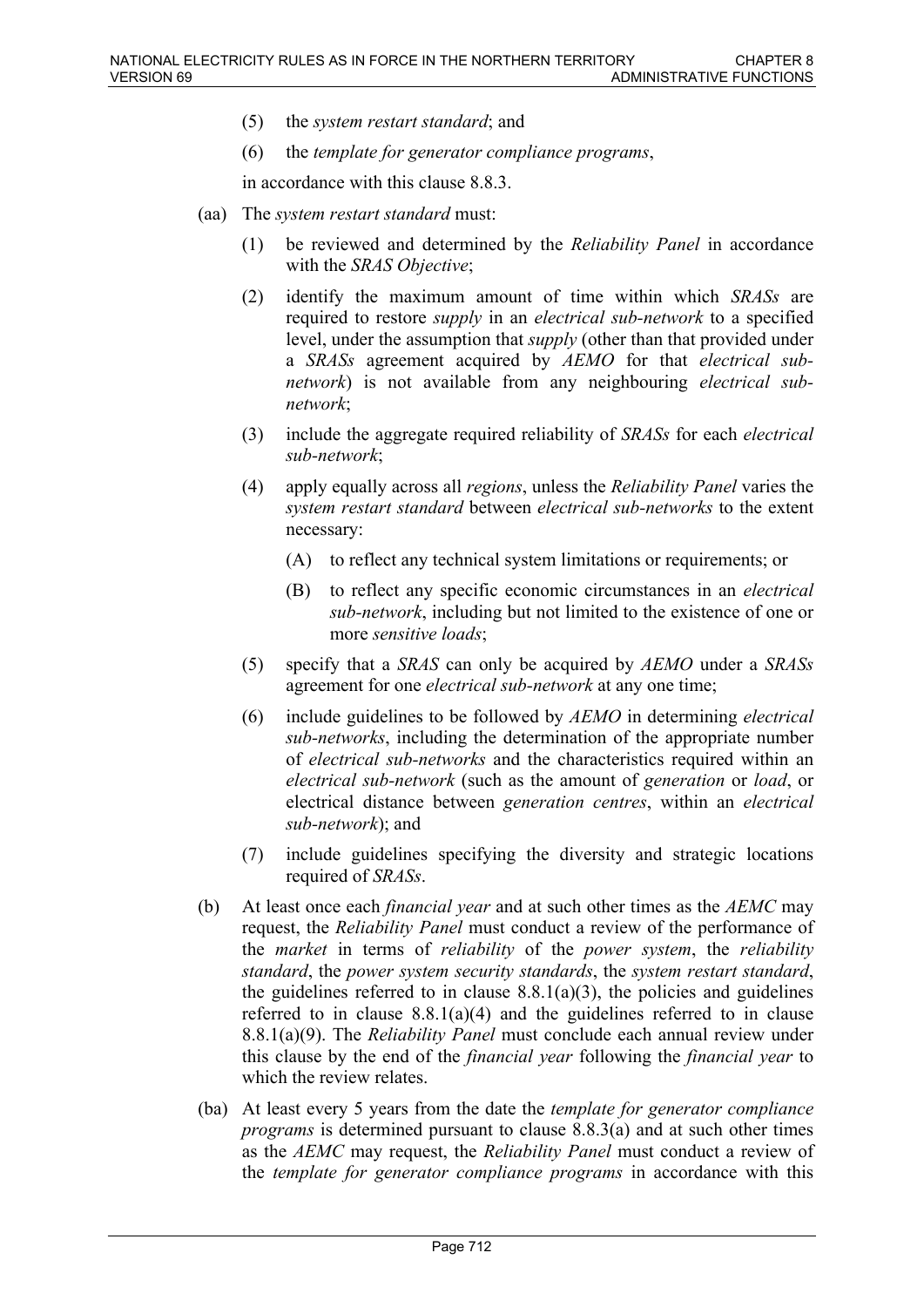- (5) the *system restart standard*; and
- (6) the *template for generator compliance programs*,

in accordance with this clause 8.8.3.

- (aa) The *system restart standard* must:
	- (1) be reviewed and determined by the *Reliability Panel* in accordance with the *SRAS Objective*;
	- (2) identify the maximum amount of time within which *SRASs* are required to restore *supply* in an *electrical sub-network* to a specified level, under the assumption that *supply* (other than that provided under a *SRASs* agreement acquired by *AEMO* for that *electrical subnetwork*) is not available from any neighbouring *electrical subnetwork*;
	- (3) include the aggregate required reliability of *SRASs* for each *electrical sub-network*;
	- (4) apply equally across all *regions*, unless the *Reliability Panel* varies the *system restart standard* between *electrical sub-networks* to the extent necessary:
		- (A) to reflect any technical system limitations or requirements; or
		- (B) to reflect any specific economic circumstances in an *electrical sub-network*, including but not limited to the existence of one or more *sensitive loads*;
	- (5) specify that a *SRAS* can only be acquired by *AEMO* under a *SRASs* agreement for one *electrical sub-network* at any one time;
	- (6) include guidelines to be followed by *AEMO* in determining *electrical sub-networks*, including the determination of the appropriate number of *electrical sub-networks* and the characteristics required within an *electrical sub-network* (such as the amount of *generation* or *load*, or electrical distance between *generation centres*, within an *electrical sub-network*); and
	- (7) include guidelines specifying the diversity and strategic locations required of *SRASs*.
- (b) At least once each *financial year* and at such other times as the *AEMC* may request, the *Reliability Panel* must conduct a review of the performance of the *market* in terms of *reliability* of the *power system*, the *reliability standard*, the *power system security standards*, the *system restart standard*, the guidelines referred to in clause  $8.8.1(a)(3)$ , the policies and guidelines referred to in clause 8.8.1(a)(4) and the guidelines referred to in clause 8.8.1(a)(9). The *Reliability Panel* must conclude each annual review under this clause by the end of the *financial year* following the *financial year* to which the review relates.
- (ba) At least every 5 years from the date the *template for generator compliance programs* is determined pursuant to clause 8.8.3(a) and at such other times as the *AEMC* may request, the *Reliability Panel* must conduct a review of the *template for generator compliance programs* in accordance with this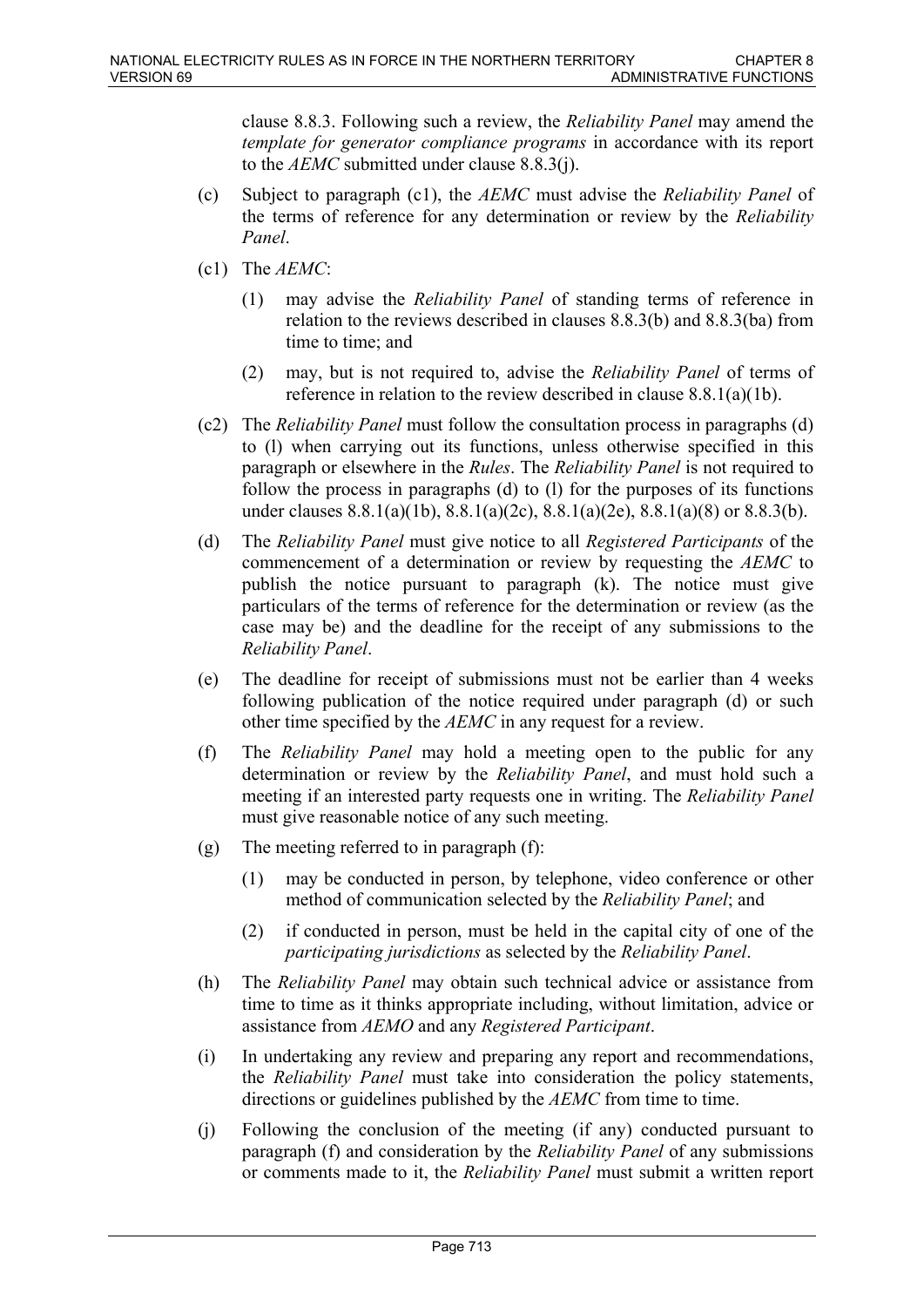clause 8.8.3. Following such a review, the *Reliability Panel* may amend the *template for generator compliance programs* in accordance with its report to the *AEMC* submitted under clause 8.8.3(j).

- (c) Subject to paragraph (c1), the *AEMC* must advise the *Reliability Panel* of the terms of reference for any determination or review by the *Reliability Panel*.
- (c1) The *AEMC*:
	- (1) may advise the *Reliability Panel* of standing terms of reference in relation to the reviews described in clauses 8.8.3(b) and 8.8.3(ba) from time to time; and
	- (2) may, but is not required to, advise the *Reliability Panel* of terms of reference in relation to the review described in clause 8.8.1(a)(1b).
- (c2) The *Reliability Panel* must follow the consultation process in paragraphs (d) to (l) when carrying out its functions, unless otherwise specified in this paragraph or elsewhere in the *Rules*. The *Reliability Panel* is not required to follow the process in paragraphs (d) to (l) for the purposes of its functions under clauses 8.8.1(a)(1b), 8.8.1(a)(2c), 8.8.1(a)(2e), 8.8.1(a)(8) or 8.8.3(b).
- (d) The *Reliability Panel* must give notice to all *Registered Participants* of the commencement of a determination or review by requesting the *AEMC* to publish the notice pursuant to paragraph (k). The notice must give particulars of the terms of reference for the determination or review (as the case may be) and the deadline for the receipt of any submissions to the *Reliability Panel*.
- (e) The deadline for receipt of submissions must not be earlier than 4 weeks following publication of the notice required under paragraph (d) or such other time specified by the *AEMC* in any request for a review.
- (f) The *Reliability Panel* may hold a meeting open to the public for any determination or review by the *Reliability Panel*, and must hold such a meeting if an interested party requests one in writing. The *Reliability Panel* must give reasonable notice of any such meeting.
- (g) The meeting referred to in paragraph (f):
	- (1) may be conducted in person, by telephone, video conference or other method of communication selected by the *Reliability Panel*; and
	- (2) if conducted in person, must be held in the capital city of one of the *participating jurisdictions* as selected by the *Reliability Panel*.
- (h) The *Reliability Panel* may obtain such technical advice or assistance from time to time as it thinks appropriate including, without limitation, advice or assistance from *AEMO* and any *Registered Participant*.
- (i) In undertaking any review and preparing any report and recommendations, the *Reliability Panel* must take into consideration the policy statements, directions or guidelines published by the *AEMC* from time to time.
- (j) Following the conclusion of the meeting (if any) conducted pursuant to paragraph (f) and consideration by the *Reliability Panel* of any submissions or comments made to it, the *Reliability Panel* must submit a written report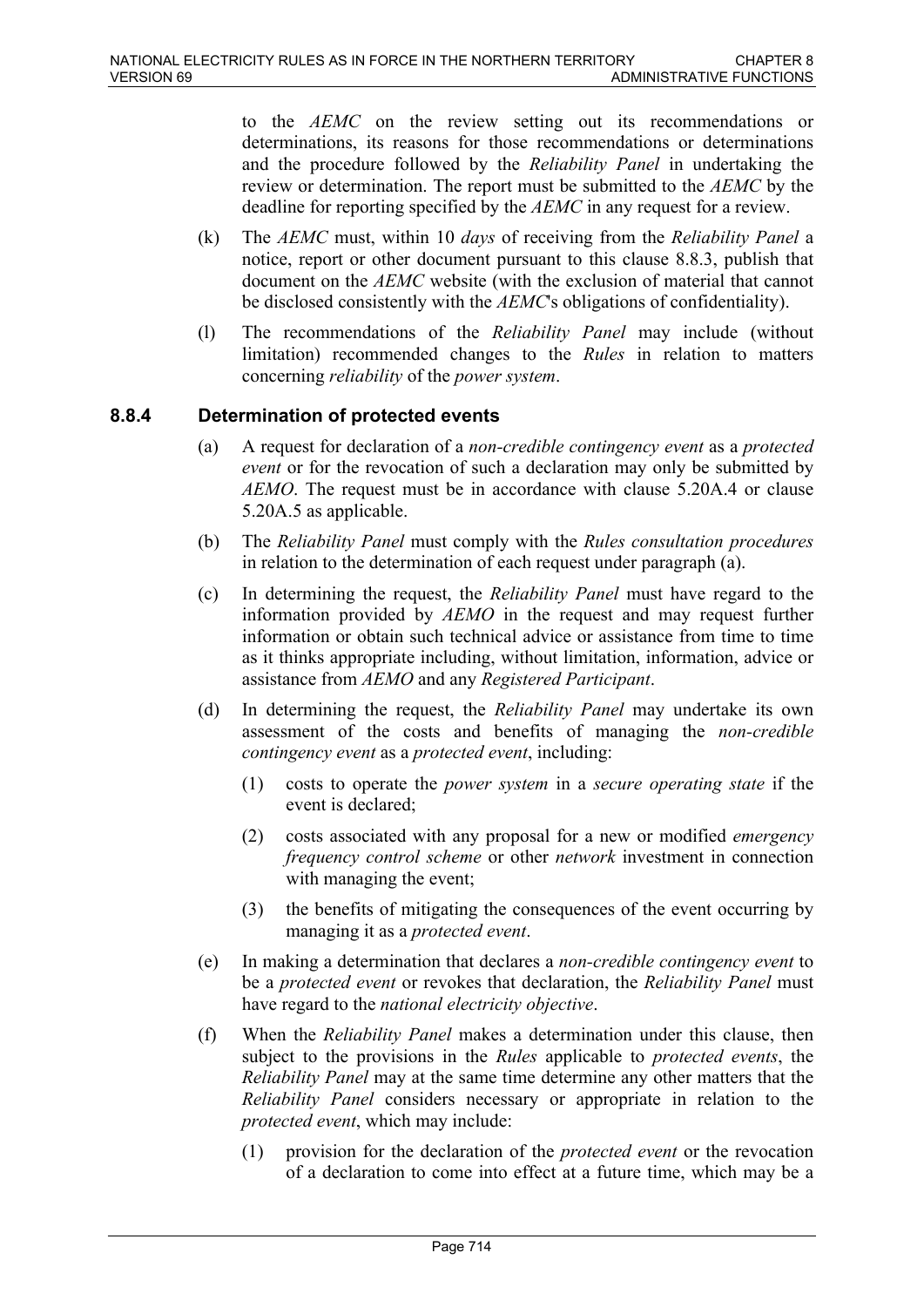to the *AEMC* on the review setting out its recommendations or determinations, its reasons for those recommendations or determinations and the procedure followed by the *Reliability Panel* in undertaking the review or determination. The report must be submitted to the *AEMC* by the deadline for reporting specified by the *AEMC* in any request for a review.

- (k) The *AEMC* must, within 10 *days* of receiving from the *Reliability Panel* a notice, report or other document pursuant to this clause 8.8.3, publish that document on the *AEMC* website (with the exclusion of material that cannot be disclosed consistently with the *AEMC*'s obligations of confidentiality).
- (l) The recommendations of the *Reliability Panel* may include (without limitation) recommended changes to the *Rules* in relation to matters concerning *reliability* of the *power system*.

# **8.8.4 Determination of protected events**

- (a) A request for declaration of a *non-credible contingency event* as a *protected event* or for the revocation of such a declaration may only be submitted by *AEMO*. The request must be in accordance with clause 5.20A.4 or clause 5.20A.5 as applicable.
- (b) The *Reliability Panel* must comply with the *Rules consultation procedures* in relation to the determination of each request under paragraph (a).
- (c) In determining the request, the *Reliability Panel* must have regard to the information provided by *AEMO* in the request and may request further information or obtain such technical advice or assistance from time to time as it thinks appropriate including, without limitation, information, advice or assistance from *AEMO* and any *Registered Participant*.
- (d) In determining the request, the *Reliability Panel* may undertake its own assessment of the costs and benefits of managing the *non-credible contingency event* as a *protected event*, including:
	- (1) costs to operate the *power system* in a *secure operating state* if the event is declared;
	- (2) costs associated with any proposal for a new or modified *emergency frequency control scheme* or other *network* investment in connection with managing the event;
	- (3) the benefits of mitigating the consequences of the event occurring by managing it as a *protected event*.
- (e) In making a determination that declares a *non-credible contingency event* to be a *protected event* or revokes that declaration, the *Reliability Panel* must have regard to the *national electricity objective*.
- (f) When the *Reliability Panel* makes a determination under this clause, then subject to the provisions in the *Rules* applicable to *protected events*, the *Reliability Panel* may at the same time determine any other matters that the *Reliability Panel* considers necessary or appropriate in relation to the *protected event*, which may include:
	- (1) provision for the declaration of the *protected event* or the revocation of a declaration to come into effect at a future time, which may be a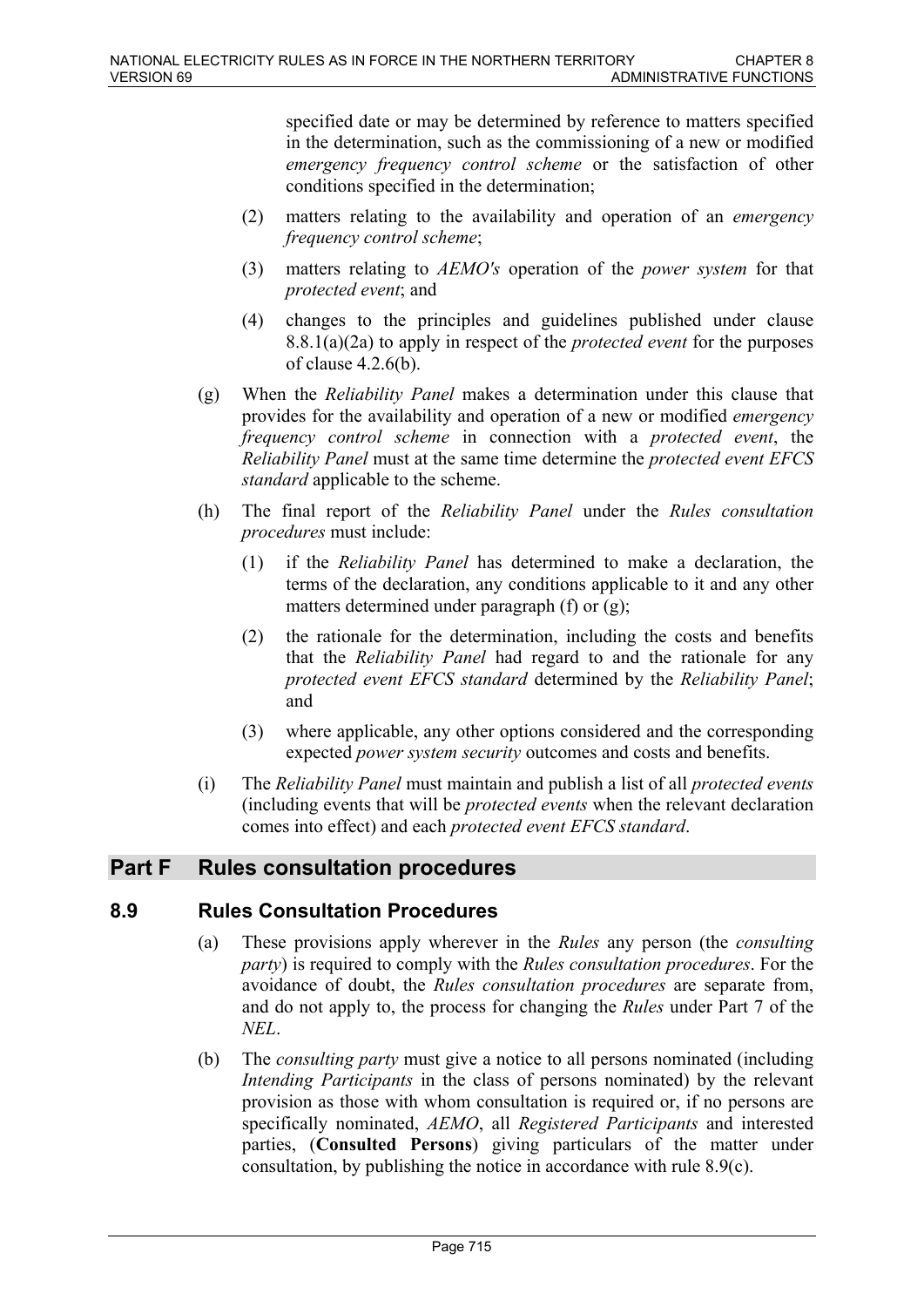specified date or may be determined by reference to matters specified in the determination, such as the commissioning of a new or modified *emergency frequency control scheme* or the satisfaction of other conditions specified in the determination;

- (2) matters relating to the availability and operation of an *emergency frequency control scheme*;
- (3) matters relating to *AEMO's* operation of the *power system* for that *protected event*; and
- (4) changes to the principles and guidelines published under clause 8.8.1(a)(2a) to apply in respect of the *protected event* for the purposes of clause 4.2.6(b).
- (g) When the *Reliability Panel* makes a determination under this clause that provides for the availability and operation of a new or modified *emergency frequency control scheme* in connection with a *protected event*, the *Reliability Panel* must at the same time determine the *protected event EFCS standard* applicable to the scheme.
- (h) The final report of the *Reliability Panel* under the *Rules consultation procedures* must include:
	- (1) if the *Reliability Panel* has determined to make a declaration, the terms of the declaration, any conditions applicable to it and any other matters determined under paragraph (f) or (g);
	- (2) the rationale for the determination, including the costs and benefits that the *Reliability Panel* had regard to and the rationale for any *protected event EFCS standard* determined by the *Reliability Panel*; and
	- (3) where applicable, any other options considered and the corresponding expected *power system security* outcomes and costs and benefits.
- (i) The *Reliability Panel* must maintain and publish a list of all *protected events* (including events that will be *protected events* when the relevant declaration comes into effect) and each *protected event EFCS standard*.

# **Part F Rules consultation procedures**

# **8.9 Rules Consultation Procedures**

- (a) These provisions apply wherever in the *Rules* any person (the *consulting party*) is required to comply with the *Rules consultation procedures*. For the avoidance of doubt, the *Rules consultation procedures* are separate from, and do not apply to, the process for changing the *Rules* under Part 7 of the *NEL*.
- (b) The *consulting party* must give a notice to all persons nominated (including *Intending Participants* in the class of persons nominated) by the relevant provision as those with whom consultation is required or, if no persons are specifically nominated, *AEMO*, all *Registered Participants* and interested parties, (**Consulted Persons**) giving particulars of the matter under consultation, by publishing the notice in accordance with rule 8.9(c).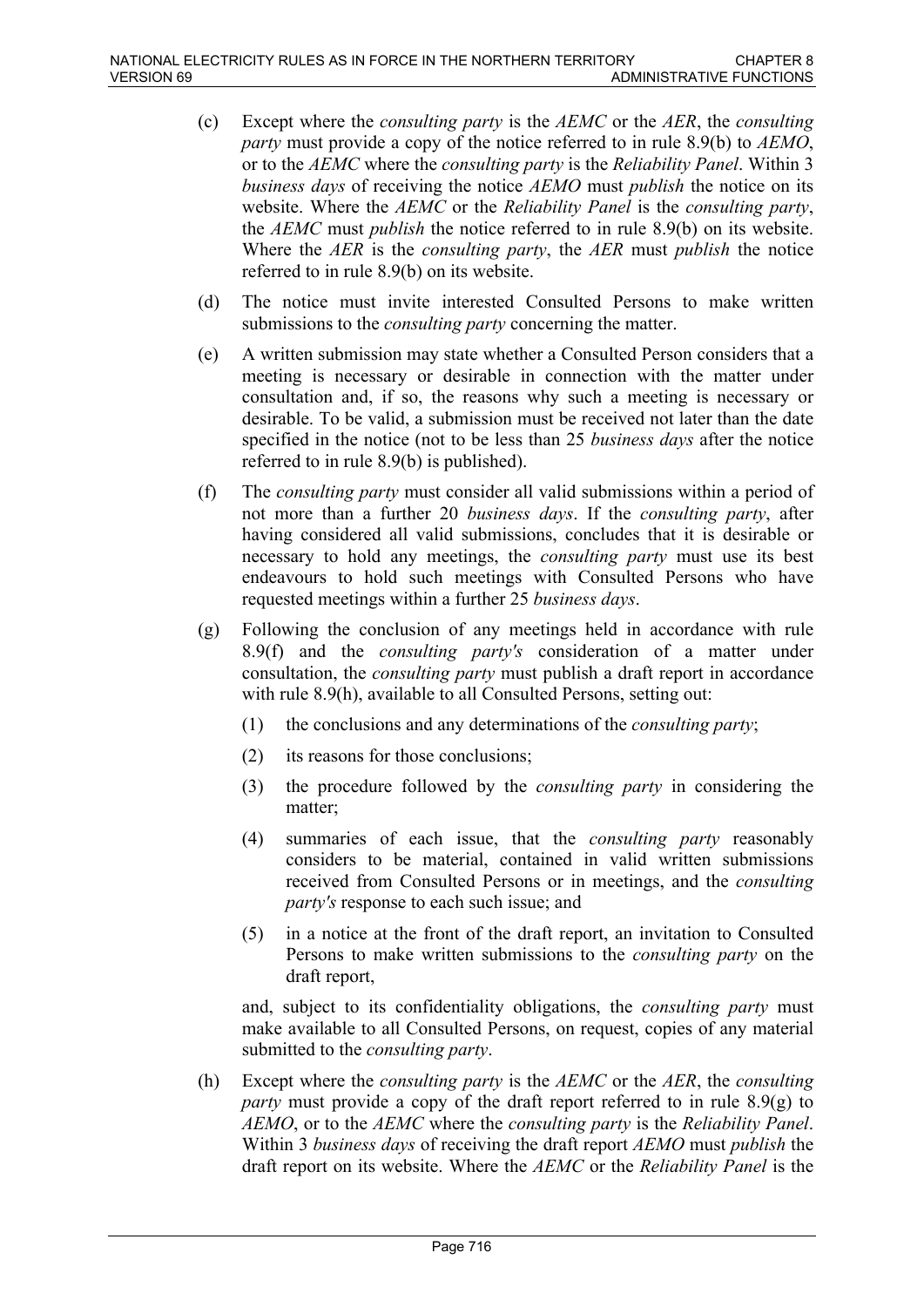- (c) Except where the *consulting party* is the *AEMC* or the *AER*, the *consulting party* must provide a copy of the notice referred to in rule 8.9(b) to *AEMO*, or to the *AEMC* where the *consulting party* is the *Reliability Panel*. Within 3 *business days* of receiving the notice *AEMO* must *publish* the notice on its website. Where the *AEMC* or the *Reliability Panel* is the *consulting party*, the *AEMC* must *publish* the notice referred to in rule 8.9(b) on its website. Where the *AER* is the *consulting party*, the *AER* must *publish* the notice referred to in rule 8.9(b) on its website.
- (d) The notice must invite interested Consulted Persons to make written submissions to the *consulting party* concerning the matter.
- (e) A written submission may state whether a Consulted Person considers that a meeting is necessary or desirable in connection with the matter under consultation and, if so, the reasons why such a meeting is necessary or desirable. To be valid, a submission must be received not later than the date specified in the notice (not to be less than 25 *business days* after the notice referred to in rule 8.9(b) is published).
- (f) The *consulting party* must consider all valid submissions within a period of not more than a further 20 *business days*. If the *consulting party*, after having considered all valid submissions, concludes that it is desirable or necessary to hold any meetings, the *consulting party* must use its best endeavours to hold such meetings with Consulted Persons who have requested meetings within a further 25 *business days*.
- (g) Following the conclusion of any meetings held in accordance with rule 8.9(f) and the *consulting party's* consideration of a matter under consultation, the *consulting party* must publish a draft report in accordance with rule 8.9(h), available to all Consulted Persons, setting out:
	- (1) the conclusions and any determinations of the *consulting party*;
	- (2) its reasons for those conclusions;
	- (3) the procedure followed by the *consulting party* in considering the matter;
	- (4) summaries of each issue, that the *consulting party* reasonably considers to be material, contained in valid written submissions received from Consulted Persons or in meetings, and the *consulting party's* response to each such issue; and
	- (5) in a notice at the front of the draft report, an invitation to Consulted Persons to make written submissions to the *consulting party* on the draft report,

and, subject to its confidentiality obligations, the *consulting party* must make available to all Consulted Persons, on request, copies of any material submitted to the *consulting party*.

(h) Except where the *consulting party* is the *AEMC* or the *AER*, the *consulting party* must provide a copy of the draft report referred to in rule 8.9(g) to *AEMO*, or to the *AEMC* where the *consulting party* is the *Reliability Panel*. Within 3 *business days* of receiving the draft report *AEMO* must *publish* the draft report on its website. Where the *AEMC* or the *Reliability Panel* is the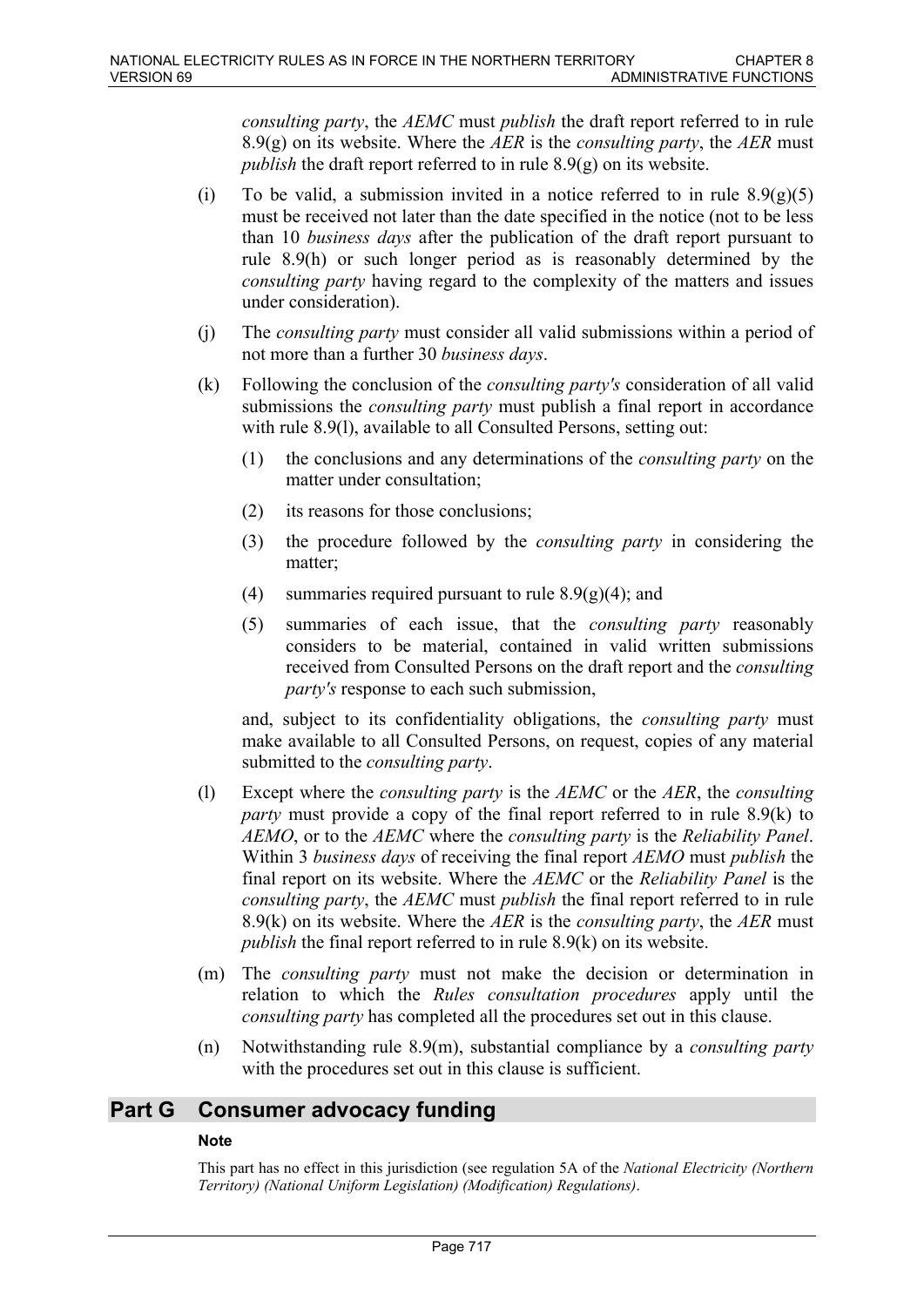*consulting party*, the *AEMC* must *publish* the draft report referred to in rule 8.9(g) on its website. Where the *AER* is the *consulting party*, the *AER* must *publish* the draft report referred to in rule 8.9(g) on its website.

- (i) To be valid, a submission invited in a notice referred to in rule  $8.9(g)(5)$ must be received not later than the date specified in the notice (not to be less than 10 *business days* after the publication of the draft report pursuant to rule 8.9(h) or such longer period as is reasonably determined by the *consulting party* having regard to the complexity of the matters and issues under consideration).
- (j) The *consulting party* must consider all valid submissions within a period of not more than a further 30 *business days*.
- (k) Following the conclusion of the *consulting party's* consideration of all valid submissions the *consulting party* must publish a final report in accordance with rule 8.9(1), available to all Consulted Persons, setting out:
	- (1) the conclusions and any determinations of the *consulting party* on the matter under consultation;
	- (2) its reasons for those conclusions;
	- (3) the procedure followed by the *consulting party* in considering the matter;
	- (4) summaries required pursuant to rule  $8.9(g)(4)$ ; and
	- (5) summaries of each issue, that the *consulting party* reasonably considers to be material, contained in valid written submissions received from Consulted Persons on the draft report and the *consulting party's* response to each such submission,

and, subject to its confidentiality obligations, the *consulting party* must make available to all Consulted Persons, on request, copies of any material submitted to the *consulting party*.

- (l) Except where the *consulting party* is the *AEMC* or the *AER*, the *consulting party* must provide a copy of the final report referred to in rule 8.9(k) to *AEMO*, or to the *AEMC* where the *consulting party* is the *Reliability Panel*. Within 3 *business days* of receiving the final report *AEMO* must *publish* the final report on its website. Where the *AEMC* or the *Reliability Panel* is the *consulting party*, the *AEMC* must *publish* the final report referred to in rule 8.9(k) on its website. Where the *AER* is the *consulting party*, the *AER* must *publish* the final report referred to in rule 8.9(k) on its website.
- (m) The *consulting party* must not make the decision or determination in relation to which the *Rules consultation procedures* apply until the *consulting party* has completed all the procedures set out in this clause.
- (n) Notwithstanding rule 8.9(m), substantial compliance by a *consulting party* with the procedures set out in this clause is sufficient.

# **Part G Consumer advocacy funding**

# **Note**

This part has no effect in this jurisdiction (see regulation 5A of the *National Electricity (Northern Territory) (National Uniform Legislation) (Modification) Regulations)*.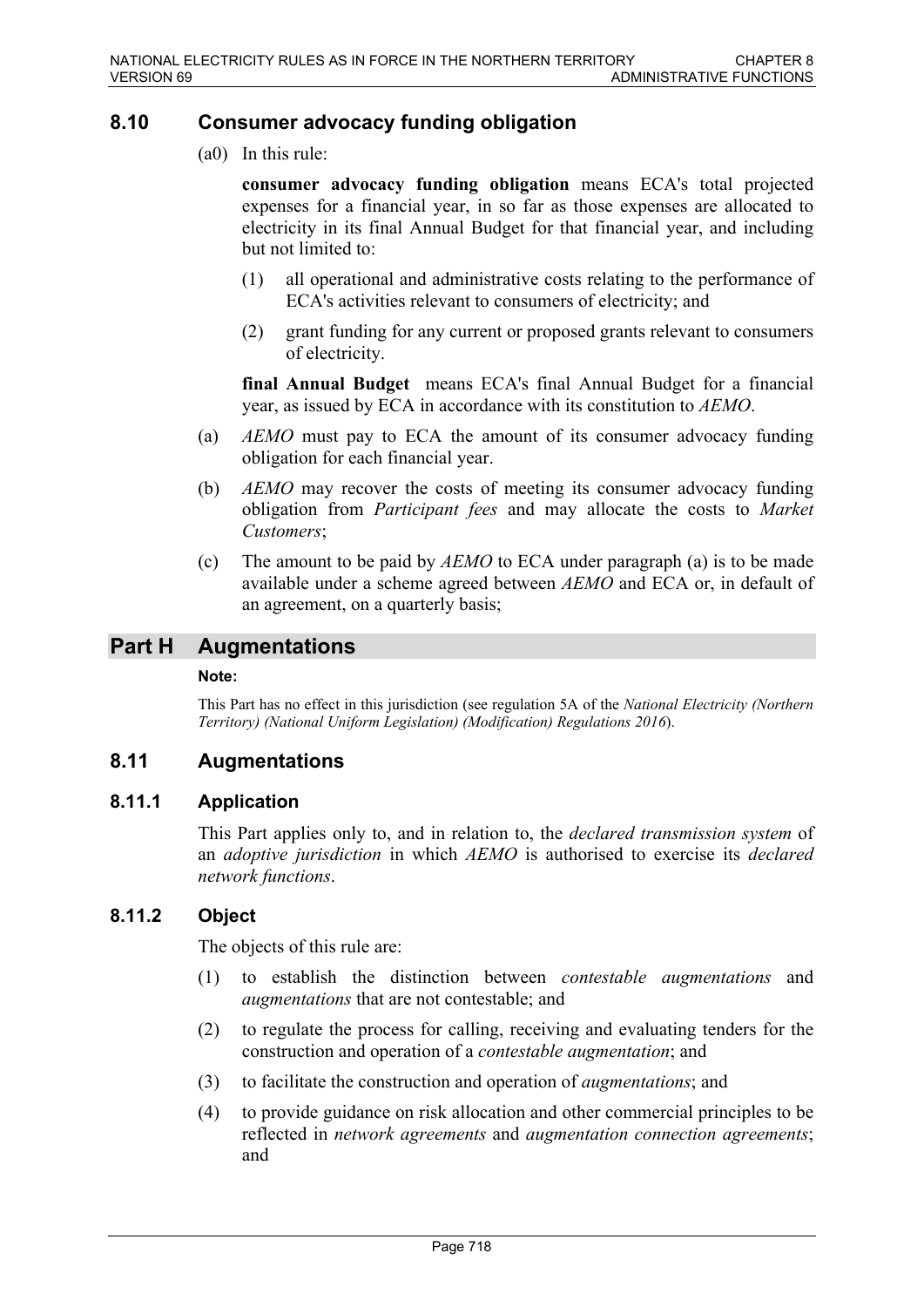# **8.10 Consumer advocacy funding obligation**

(a0) In this rule:

**consumer advocacy funding obligation** means ECA's total projected expenses for a financial year, in so far as those expenses are allocated to electricity in its final Annual Budget for that financial year, and including but not limited to:

- (1) all operational and administrative costs relating to the performance of ECA's activities relevant to consumers of electricity; and
- (2) grant funding for any current or proposed grants relevant to consumers of electricity.

**final Annual Budget** means ECA's final Annual Budget for a financial year, as issued by ECA in accordance with its constitution to *AEMO*.

- (a) *AEMO* must pay to ECA the amount of its consumer advocacy funding obligation for each financial year.
- (b) *AEMO* may recover the costs of meeting its consumer advocacy funding obligation from *Participant fees* and may allocate the costs to *Market Customers*;
- (c) The amount to be paid by *AEMO* to ECA under paragraph (a) is to be made available under a scheme agreed between *AEMO* and ECA or, in default of an agreement, on a quarterly basis;

# **Part H Augmentations**

### **Note:**

This Part has no effect in this jurisdiction (see regulation 5A of the *National Electricity (Northern Territory) (National Uniform Legislation) (Modification) Regulations 2016*).

# **8.11 Augmentations**

# **8.11.1 Application**

This Part applies only to, and in relation to, the *declared transmission system* of an *adoptive jurisdiction* in which *AEMO* is authorised to exercise its *declared network functions*.

# **8.11.2 Object**

The objects of this rule are:

- (1) to establish the distinction between *contestable augmentations* and *augmentations* that are not contestable; and
- (2) to regulate the process for calling, receiving and evaluating tenders for the construction and operation of a *contestable augmentation*; and
- (3) to facilitate the construction and operation of *augmentations*; and
- (4) to provide guidance on risk allocation and other commercial principles to be reflected in *network agreements* and *augmentation connection agreements*; and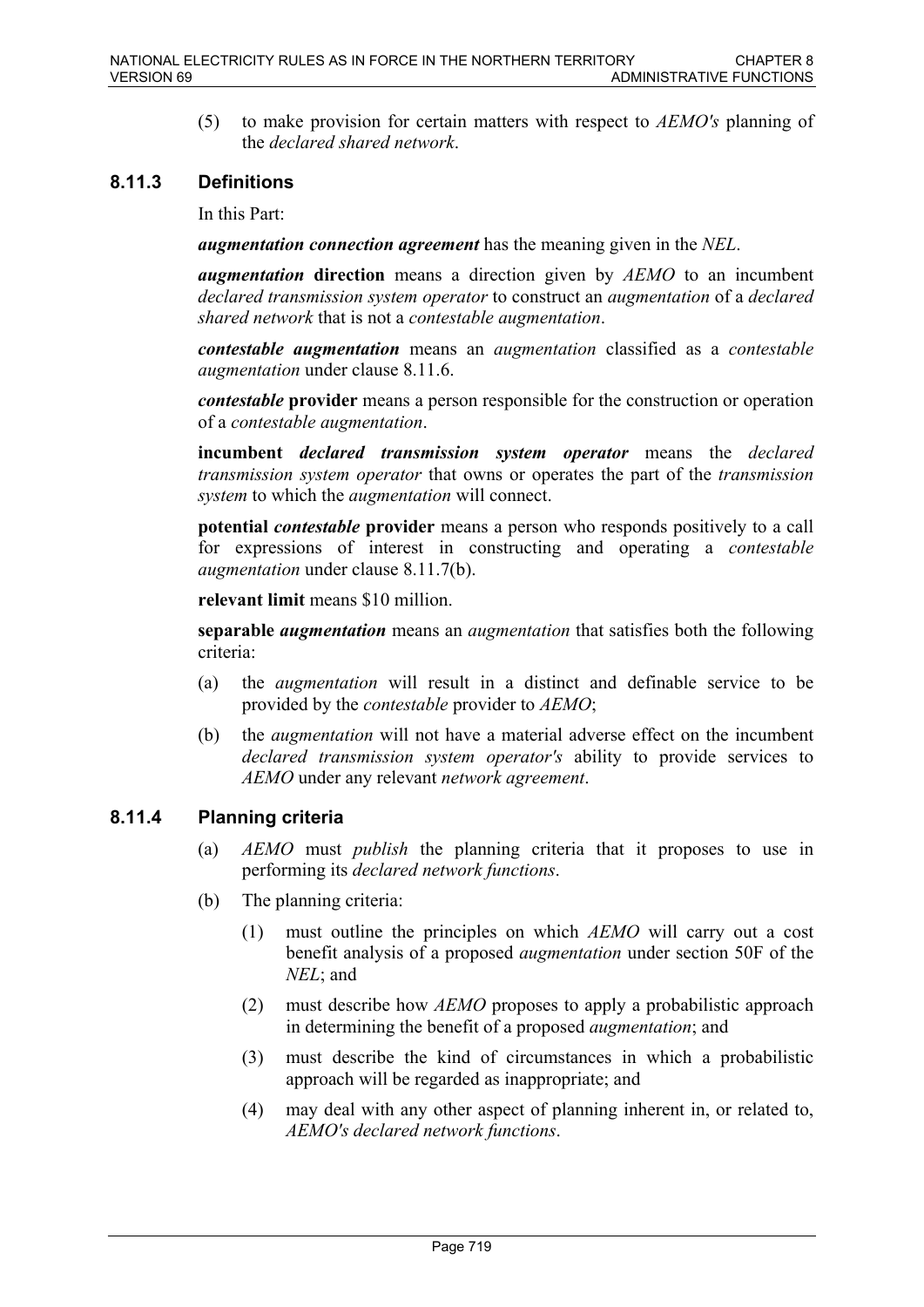(5) to make provision for certain matters with respect to *AEMO's* planning of the *declared shared network*.

# **8.11.3 Definitions**

In this Part:

*augmentation connection agreement* has the meaning given in the *NEL*.

*augmentation* **direction** means a direction given by *AEMO* to an incumbent *declared transmission system operator* to construct an *augmentation* of a *declared shared network* that is not a *contestable augmentation*.

*contestable augmentation* means an *augmentation* classified as a *contestable augmentation* under clause 8.11.6.

*contestable* **provider** means a person responsible for the construction or operation of a *contestable augmentation*.

**incumbent** *declared transmission system operator* means the *declared transmission system operator* that owns or operates the part of the *transmission system* to which the *augmentation* will connect.

**potential** *contestable* **provider** means a person who responds positively to a call for expressions of interest in constructing and operating a *contestable augmentation* under clause 8.11.7(b).

**relevant limit** means \$10 million.

**separable** *augmentation* means an *augmentation* that satisfies both the following criteria:

- (a) the *augmentation* will result in a distinct and definable service to be provided by the *contestable* provider to *AEMO*;
- (b) the *augmentation* will not have a material adverse effect on the incumbent *declared transmission system operator's* ability to provide services to *AEMO* under any relevant *network agreement*.

# **8.11.4 Planning criteria**

- (a) *AEMO* must *publish* the planning criteria that it proposes to use in performing its *declared network functions*.
- (b) The planning criteria:
	- (1) must outline the principles on which *AEMO* will carry out a cost benefit analysis of a proposed *augmentation* under section 50F of the *NEL*; and
	- (2) must describe how *AEMO* proposes to apply a probabilistic approach in determining the benefit of a proposed *augmentation*; and
	- (3) must describe the kind of circumstances in which a probabilistic approach will be regarded as inappropriate; and
	- (4) may deal with any other aspect of planning inherent in, or related to, *AEMO's declared network functions*.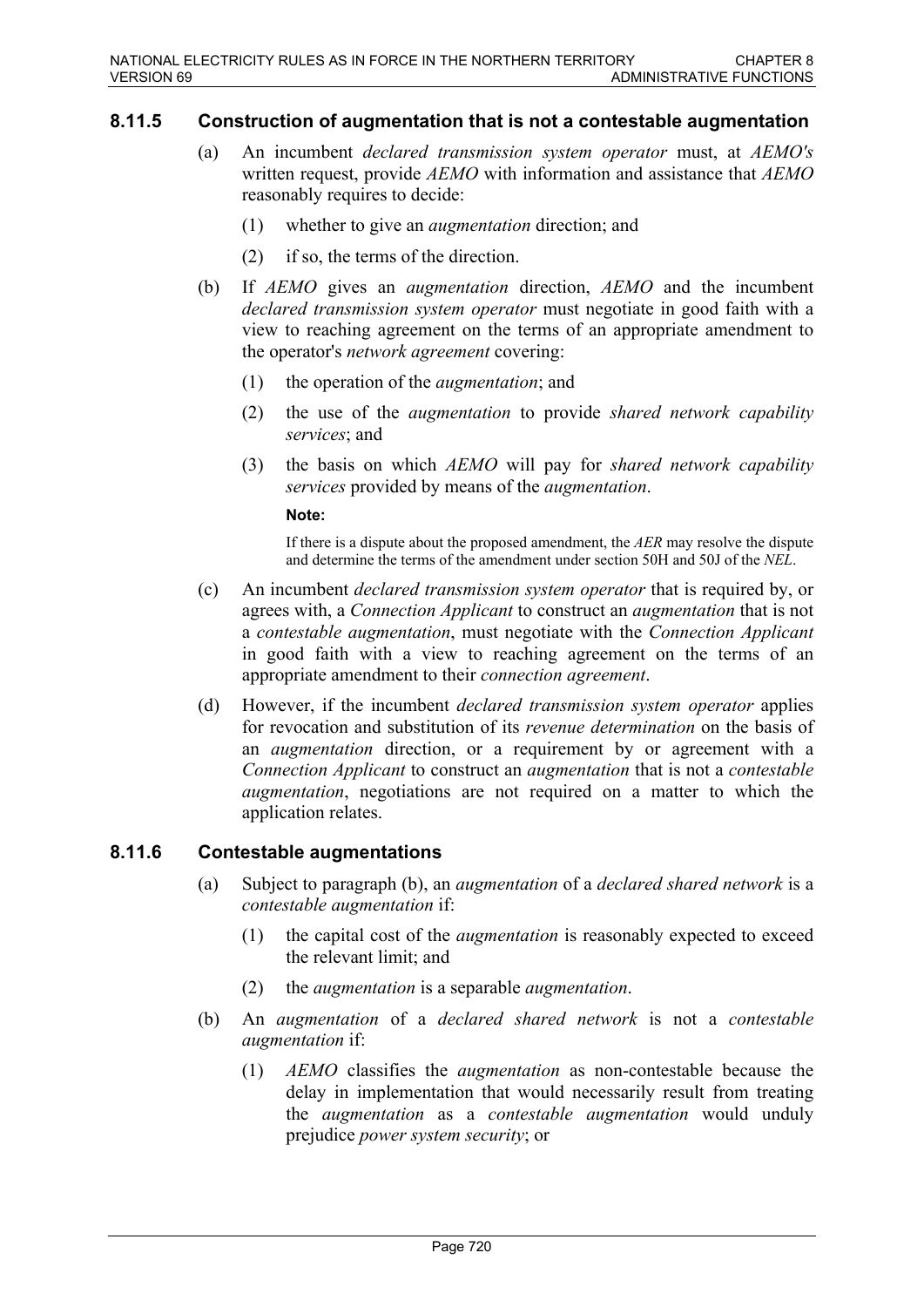### **8.11.5 Construction of augmentation that is not a contestable augmentation**

- (a) An incumbent *declared transmission system operator* must, at *AEMO's* written request, provide *AEMO* with information and assistance that *AEMO* reasonably requires to decide:
	- (1) whether to give an *augmentation* direction; and
	- (2) if so, the terms of the direction.
- (b) If *AEMO* gives an *augmentation* direction, *AEMO* and the incumbent *declared transmission system operator* must negotiate in good faith with a view to reaching agreement on the terms of an appropriate amendment to the operator's *network agreement* covering:
	- (1) the operation of the *augmentation*; and
	- (2) the use of the *augmentation* to provide *shared network capability services*; and
	- (3) the basis on which *AEMO* will pay for *shared network capability services* provided by means of the *augmentation*.

#### **Note:**

If there is a dispute about the proposed amendment, the *AER* may resolve the dispute and determine the terms of the amendment under section 50H and 50J of the *NEL*.

- (c) An incumbent *declared transmission system operator* that is required by, or agrees with, a *Connection Applicant* to construct an *augmentation* that is not a *contestable augmentation*, must negotiate with the *Connection Applicant* in good faith with a view to reaching agreement on the terms of an appropriate amendment to their *connection agreement*.
- (d) However, if the incumbent *declared transmission system operator* applies for revocation and substitution of its *revenue determination* on the basis of an *augmentation* direction, or a requirement by or agreement with a *Connection Applicant* to construct an *augmentation* that is not a *contestable augmentation*, negotiations are not required on a matter to which the application relates.

### **8.11.6 Contestable augmentations**

- (a) Subject to paragraph (b), an *augmentation* of a *declared shared network* is a *contestable augmentation* if:
	- (1) the capital cost of the *augmentation* is reasonably expected to exceed the relevant limit; and
	- (2) the *augmentation* is a separable *augmentation*.
- (b) An *augmentation* of a *declared shared network* is not a *contestable augmentation* if:
	- (1) *AEMO* classifies the *augmentation* as non-contestable because the delay in implementation that would necessarily result from treating the *augmentation* as a *contestable augmentation* would unduly prejudice *power system security*; or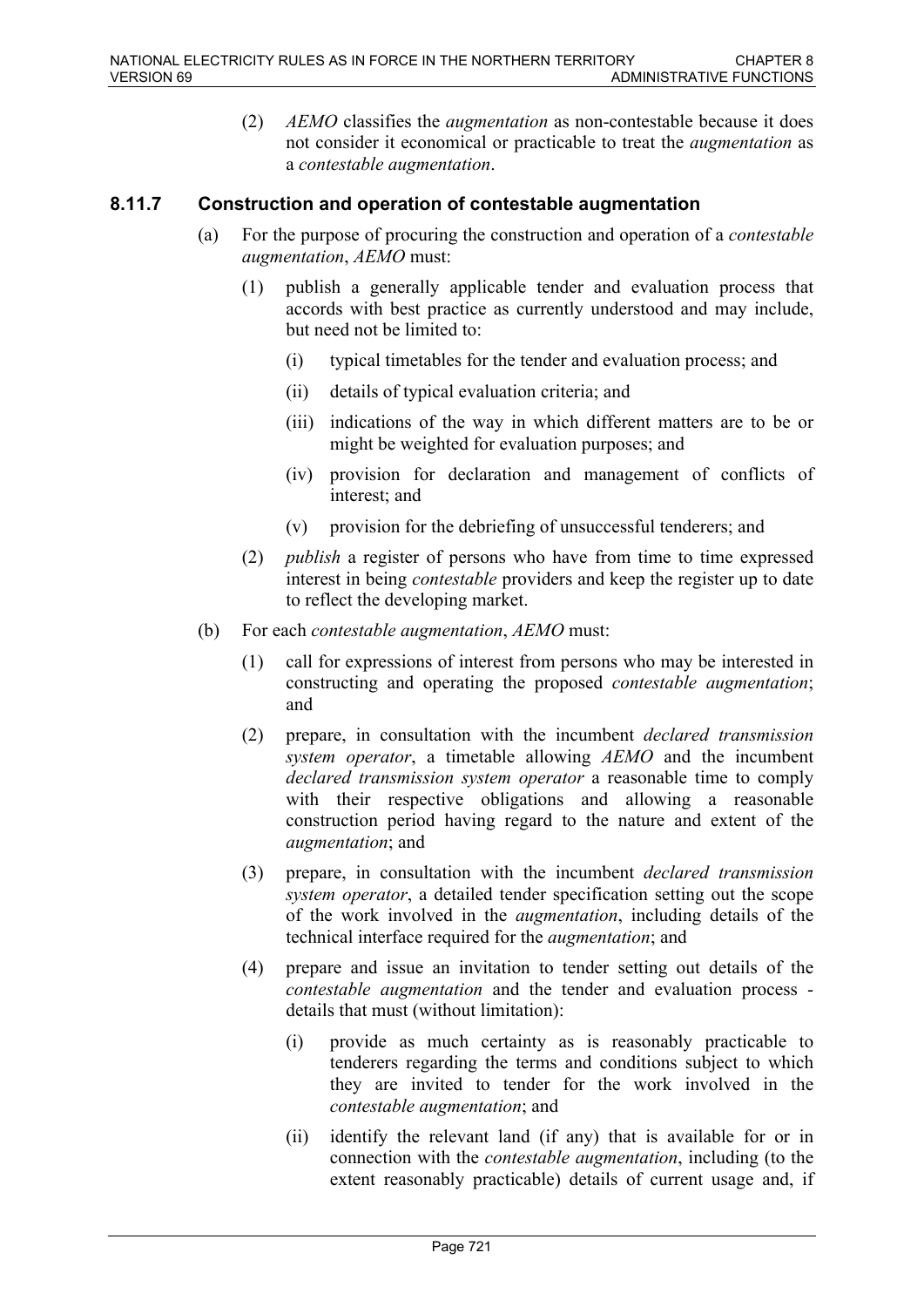(2) *AEMO* classifies the *augmentation* as non-contestable because it does not consider it economical or practicable to treat the *augmentation* as a *contestable augmentation*.

# **8.11.7 Construction and operation of contestable augmentation**

- (a) For the purpose of procuring the construction and operation of a *contestable augmentation*, *AEMO* must:
	- (1) publish a generally applicable tender and evaluation process that accords with best practice as currently understood and may include, but need not be limited to:
		- (i) typical timetables for the tender and evaluation process; and
		- (ii) details of typical evaluation criteria; and
		- (iii) indications of the way in which different matters are to be or might be weighted for evaluation purposes; and
		- (iv) provision for declaration and management of conflicts of interest; and
		- (v) provision for the debriefing of unsuccessful tenderers; and
	- (2) *publish* a register of persons who have from time to time expressed interest in being *contestable* providers and keep the register up to date to reflect the developing market.
- (b) For each *contestable augmentation*, *AEMO* must:
	- (1) call for expressions of interest from persons who may be interested in constructing and operating the proposed *contestable augmentation*; and
	- (2) prepare, in consultation with the incumbent *declared transmission system operator*, a timetable allowing *AEMO* and the incumbent *declared transmission system operator* a reasonable time to comply with their respective obligations and allowing a reasonable construction period having regard to the nature and extent of the *augmentation*; and
	- (3) prepare, in consultation with the incumbent *declared transmission system operator*, a detailed tender specification setting out the scope of the work involved in the *augmentation*, including details of the technical interface required for the *augmentation*; and
	- (4) prepare and issue an invitation to tender setting out details of the *contestable augmentation* and the tender and evaluation process details that must (without limitation):
		- (i) provide as much certainty as is reasonably practicable to tenderers regarding the terms and conditions subject to which they are invited to tender for the work involved in the *contestable augmentation*; and
		- (ii) identify the relevant land (if any) that is available for or in connection with the *contestable augmentation*, including (to the extent reasonably practicable) details of current usage and, if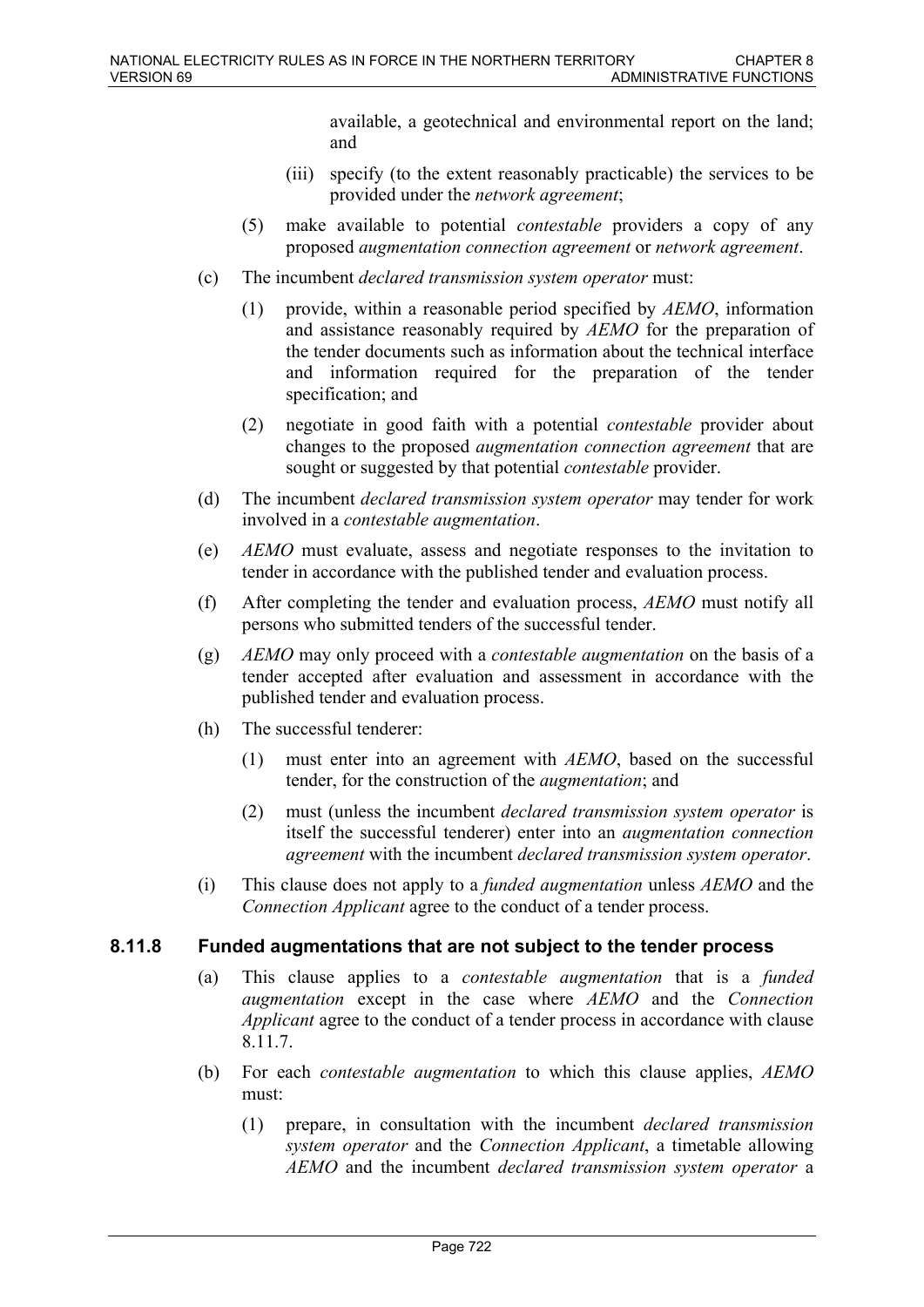available, a geotechnical and environmental report on the land; and

- (iii) specify (to the extent reasonably practicable) the services to be provided under the *network agreement*;
- (5) make available to potential *contestable* providers a copy of any proposed *augmentation connection agreement* or *network agreement*.
- (c) The incumbent *declared transmission system operator* must:
	- (1) provide, within a reasonable period specified by *AEMO*, information and assistance reasonably required by *AEMO* for the preparation of the tender documents such as information about the technical interface and information required for the preparation of the tender specification; and
	- (2) negotiate in good faith with a potential *contestable* provider about changes to the proposed *augmentation connection agreement* that are sought or suggested by that potential *contestable* provider.
- (d) The incumbent *declared transmission system operator* may tender for work involved in a *contestable augmentation*.
- (e) *AEMO* must evaluate, assess and negotiate responses to the invitation to tender in accordance with the published tender and evaluation process.
- (f) After completing the tender and evaluation process, *AEMO* must notify all persons who submitted tenders of the successful tender.
- (g) *AEMO* may only proceed with a *contestable augmentation* on the basis of a tender accepted after evaluation and assessment in accordance with the published tender and evaluation process.
- (h) The successful tenderer:
	- (1) must enter into an agreement with *AEMO*, based on the successful tender, for the construction of the *augmentation*; and
	- (2) must (unless the incumbent *declared transmission system operator* is itself the successful tenderer) enter into an *augmentation connection agreement* with the incumbent *declared transmission system operator*.
- (i) This clause does not apply to a *funded augmentation* unless *AEMO* and the *Connection Applicant* agree to the conduct of a tender process.

# **8.11.8 Funded augmentations that are not subject to the tender process**

- (a) This clause applies to a *contestable augmentation* that is a *funded augmentation* except in the case where *AEMO* and the *Connection Applicant* agree to the conduct of a tender process in accordance with clause 8.11.7.
- (b) For each *contestable augmentation* to which this clause applies, *AEMO* must:
	- (1) prepare, in consultation with the incumbent *declared transmission system operator* and the *Connection Applicant*, a timetable allowing *AEMO* and the incumbent *declared transmission system operator* a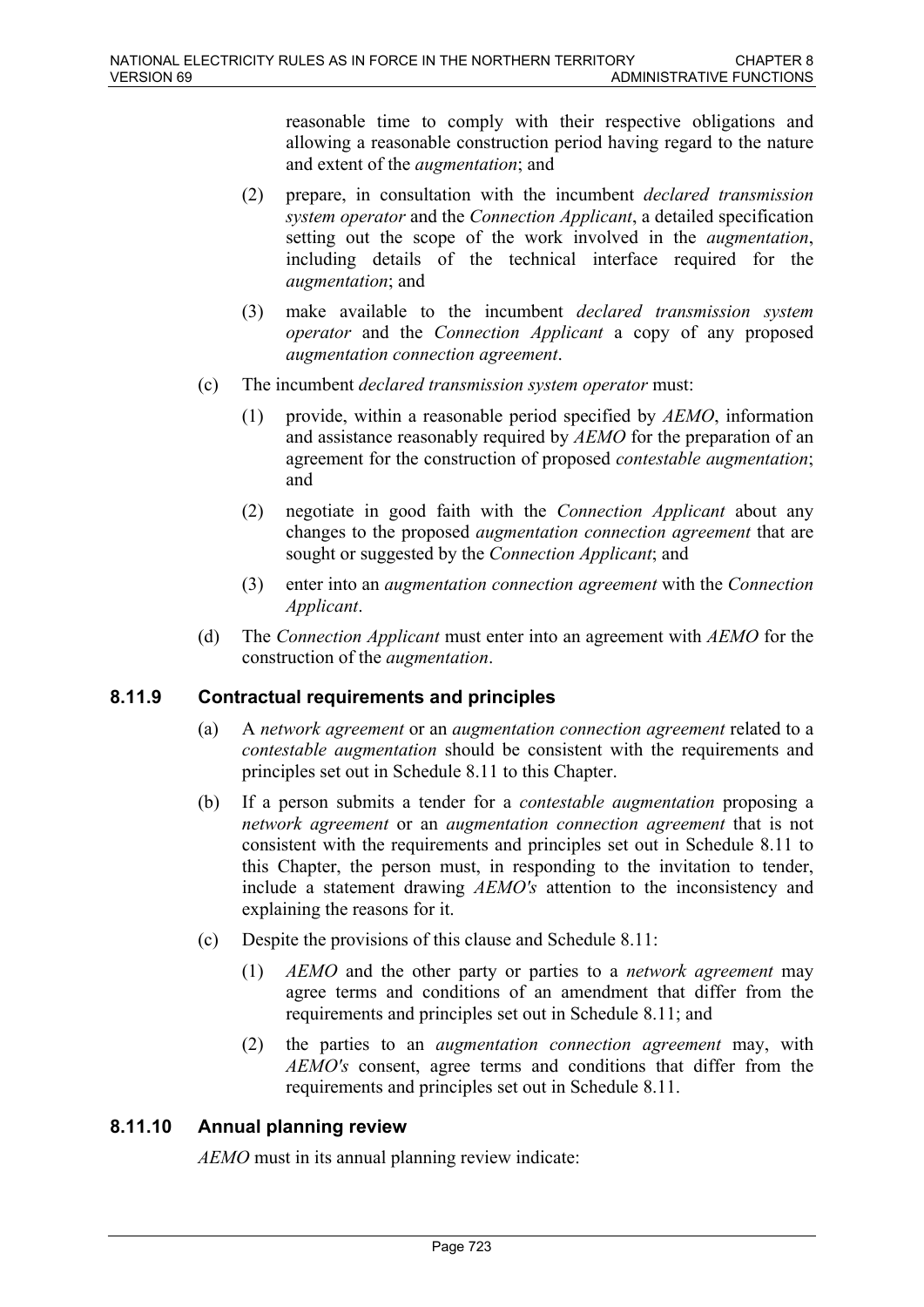reasonable time to comply with their respective obligations and allowing a reasonable construction period having regard to the nature and extent of the *augmentation*; and

- (2) prepare, in consultation with the incumbent *declared transmission system operator* and the *Connection Applicant*, a detailed specification setting out the scope of the work involved in the *augmentation*, including details of the technical interface required for the *augmentation*; and
- (3) make available to the incumbent *declared transmission system operator* and the *Connection Applicant* a copy of any proposed *augmentation connection agreement*.
- (c) The incumbent *declared transmission system operator* must:
	- (1) provide, within a reasonable period specified by *AEMO*, information and assistance reasonably required by *AEMO* for the preparation of an agreement for the construction of proposed *contestable augmentation*; and
	- (2) negotiate in good faith with the *Connection Applicant* about any changes to the proposed *augmentation connection agreement* that are sought or suggested by the *Connection Applicant*; and
	- (3) enter into an *augmentation connection agreement* with the *Connection Applicant*.
- (d) The *Connection Applicant* must enter into an agreement with *AEMO* for the construction of the *augmentation*.

# **8.11.9 Contractual requirements and principles**

- (a) A *network agreement* or an *augmentation connection agreement* related to a *contestable augmentation* should be consistent with the requirements and principles set out in Schedule 8.11 to this Chapter.
- (b) If a person submits a tender for a *contestable augmentation* proposing a *network agreement* or an *augmentation connection agreement* that is not consistent with the requirements and principles set out in Schedule 8.11 to this Chapter, the person must, in responding to the invitation to tender, include a statement drawing *AEMO's* attention to the inconsistency and explaining the reasons for it.
- (c) Despite the provisions of this clause and Schedule 8.11:
	- (1) *AEMO* and the other party or parties to a *network agreement* may agree terms and conditions of an amendment that differ from the requirements and principles set out in Schedule 8.11; and
	- (2) the parties to an *augmentation connection agreement* may, with *AEMO's* consent, agree terms and conditions that differ from the requirements and principles set out in Schedule 8.11.

# **8.11.10 Annual planning review**

*AEMO* must in its annual planning review indicate: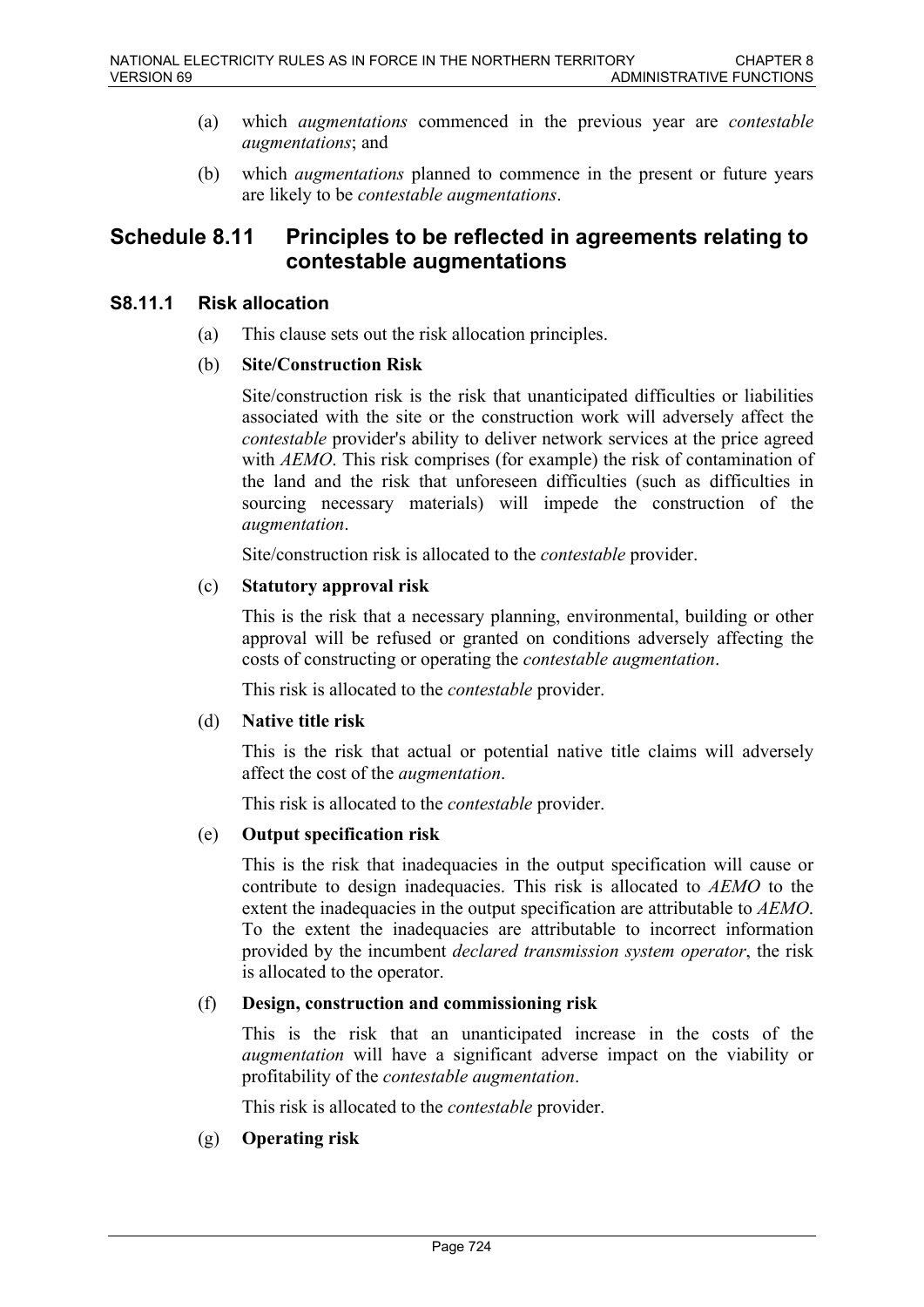- (a) which *augmentations* commenced in the previous year are *contestable augmentations*; and
- (b) which *augmentations* planned to commence in the present or future years are likely to be *contestable augmentations*.

# **Schedule 8.11 Principles to be reflected in agreements relating to contestable augmentations**

### **S8.11.1 Risk allocation**

(a) This clause sets out the risk allocation principles.

### (b) **Site/Construction Risk**

Site/construction risk is the risk that unanticipated difficulties or liabilities associated with the site or the construction work will adversely affect the *contestable* provider's ability to deliver network services at the price agreed with *AEMO*. This risk comprises (for example) the risk of contamination of the land and the risk that unforeseen difficulties (such as difficulties in sourcing necessary materials) will impede the construction of the *augmentation*.

Site/construction risk is allocated to the *contestable* provider.

### (c) **Statutory approval risk**

This is the risk that a necessary planning, environmental, building or other approval will be refused or granted on conditions adversely affecting the costs of constructing or operating the *contestable augmentation*.

This risk is allocated to the *contestable* provider.

### (d) **Native title risk**

This is the risk that actual or potential native title claims will adversely affect the cost of the *augmentation*.

This risk is allocated to the *contestable* provider.

### (e) **Output specification risk**

This is the risk that inadequacies in the output specification will cause or contribute to design inadequacies. This risk is allocated to *AEMO* to the extent the inadequacies in the output specification are attributable to *AEMO*. To the extent the inadequacies are attributable to incorrect information provided by the incumbent *declared transmission system operator*, the risk is allocated to the operator.

### (f) **Design, construction and commissioning risk**

This is the risk that an unanticipated increase in the costs of the *augmentation* will have a significant adverse impact on the viability or profitability of the *contestable augmentation*.

This risk is allocated to the *contestable* provider.

# (g) **Operating risk**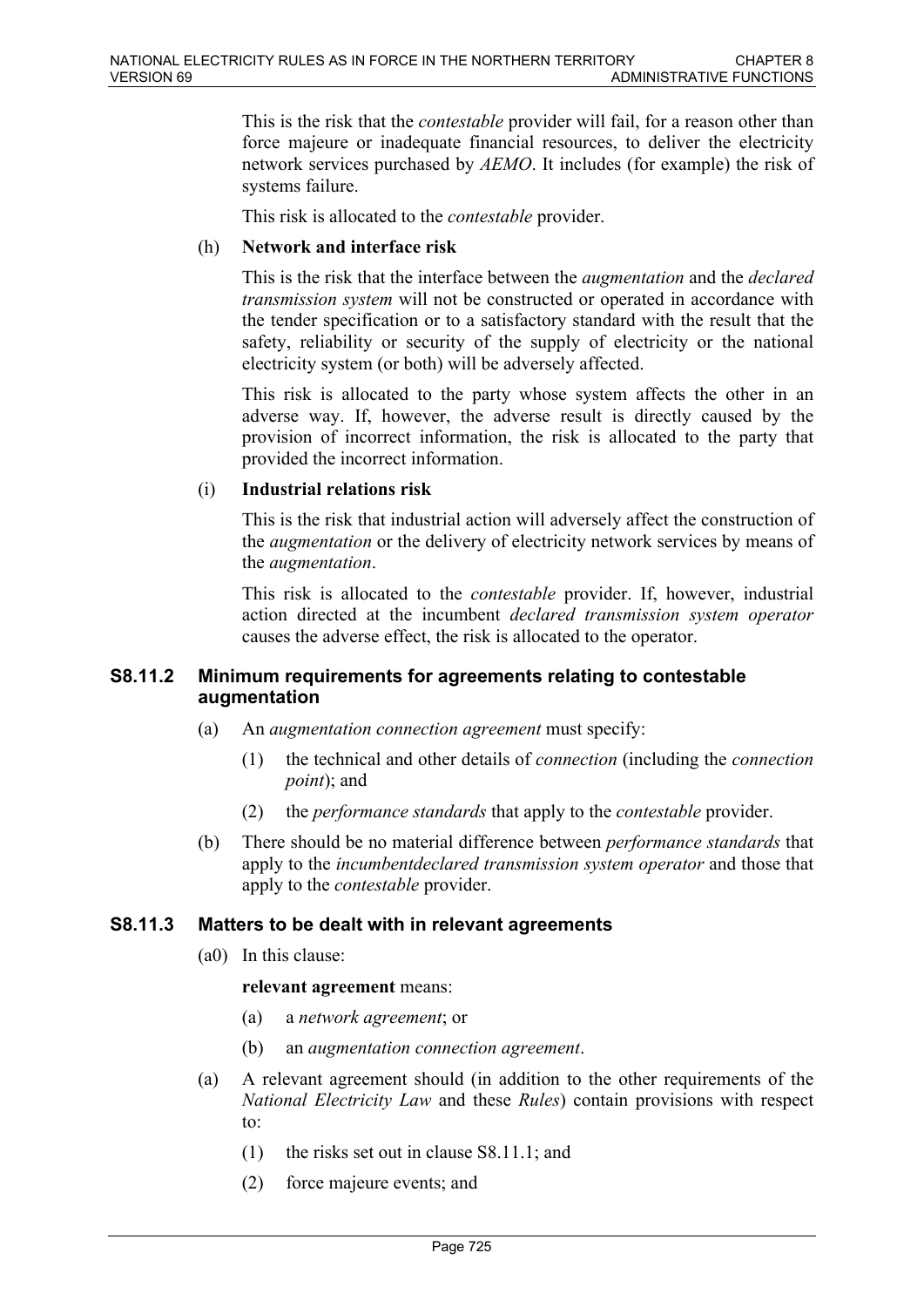This is the risk that the *contestable* provider will fail, for a reason other than force majeure or inadequate financial resources, to deliver the electricity network services purchased by *AEMO*. It includes (for example) the risk of systems failure.

This risk is allocated to the *contestable* provider.

### (h) **Network and interface risk**

This is the risk that the interface between the *augmentation* and the *declared transmission system* will not be constructed or operated in accordance with the tender specification or to a satisfactory standard with the result that the safety, reliability or security of the supply of electricity or the national electricity system (or both) will be adversely affected.

This risk is allocated to the party whose system affects the other in an adverse way. If, however, the adverse result is directly caused by the provision of incorrect information, the risk is allocated to the party that provided the incorrect information.

### (i) **Industrial relations risk**

This is the risk that industrial action will adversely affect the construction of the *augmentation* or the delivery of electricity network services by means of the *augmentation*.

This risk is allocated to the *contestable* provider. If, however, industrial action directed at the incumbent *declared transmission system operator* causes the adverse effect, the risk is allocated to the operator.

### **S8.11.2 Minimum requirements for agreements relating to contestable augmentation**

- (a) An *augmentation connection agreement* must specify:
	- (1) the technical and other details of *connection* (including the *connection point*); and
	- (2) the *performance standards* that apply to the *contestable* provider.
- (b) There should be no material difference between *performance standards* that apply to the *incumbentdeclared transmission system operator* and those that apply to the *contestable* provider.

# **S8.11.3 Matters to be dealt with in relevant agreements**

(a0) In this clause:

### **relevant agreement** means:

- (a) a *network agreement*; or
- (b) an *augmentation connection agreement*.
- (a) A relevant agreement should (in addition to the other requirements of the *National Electricity Law* and these *Rules*) contain provisions with respect to:
	- (1) the risks set out in clause S8.11.1; and
	- (2) force majeure events; and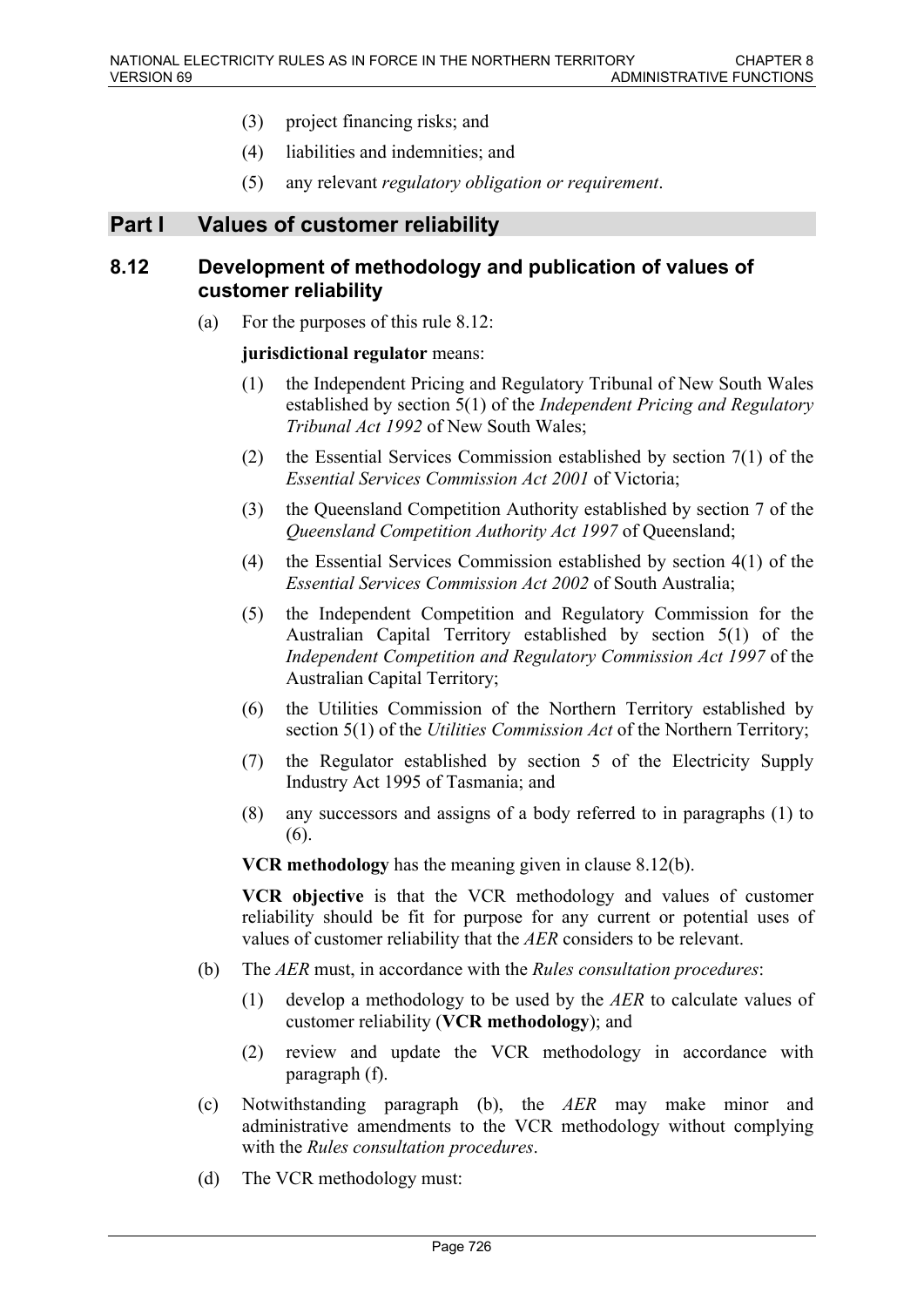- (3) project financing risks; and
- (4) liabilities and indemnities; and
- (5) any relevant *regulatory obligation or requirement*.

# **Part I Values of customer reliability**

# **8.12 Development of methodology and publication of values of customer reliability**

(a) For the purposes of this rule 8.12:

### **jurisdictional regulator** means:

- (1) the Independent Pricing and Regulatory Tribunal of New South Wales established by section 5(1) of the *Independent Pricing and Regulatory Tribunal Act 1992* of New South Wales;
- (2) the Essential Services Commission established by section 7(1) of the *Essential Services Commission Act 2001* of Victoria;
- (3) the Queensland Competition Authority established by section 7 of the *Queensland Competition Authority Act 1997* of Queensland;
- (4) the Essential Services Commission established by section 4(1) of the *Essential Services Commission Act 2002* of South Australia;
- (5) the Independent Competition and Regulatory Commission for the Australian Capital Territory established by section 5(1) of the *Independent Competition and Regulatory Commission Act 1997* of the Australian Capital Territory;
- (6) the Utilities Commission of the Northern Territory established by section 5(1) of the *Utilities Commission Act* of the Northern Territory;
- (7) the Regulator established by section 5 of the Electricity Supply Industry Act 1995 of Tasmania; and
- (8) any successors and assigns of a body referred to in paragraphs (1) to (6).

**VCR methodology** has the meaning given in clause 8.12(b).

**VCR objective** is that the VCR methodology and values of customer reliability should be fit for purpose for any current or potential uses of values of customer reliability that the *AER* considers to be relevant.

- (b) The *AER* must, in accordance with the *Rules consultation procedures*:
	- (1) develop a methodology to be used by the *AER* to calculate values of customer reliability (**VCR methodology**); and
	- (2) review and update the VCR methodology in accordance with paragraph (f).
- (c) Notwithstanding paragraph (b), the *AER* may make minor and administrative amendments to the VCR methodology without complying with the *Rules consultation procedures*.
- (d) The VCR methodology must: